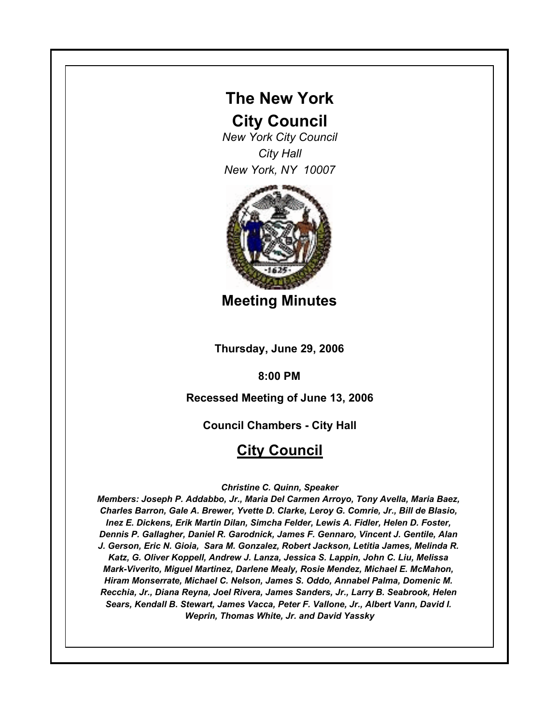# **The New York**

# **City Council**

*New York City Council City Hall New York, NY 10007*



**Meeting Minutes**

**Thursday, June 29, 2006**

**8:00 PM**

# **Recessed Meeting of June 13, 2006**

**Council Chambers - City Hall**

# **City Council**

## *Christine C. Quinn, Speaker*

*Members: Joseph P. Addabbo, Jr., Maria Del Carmen Arroyo, Tony Avella, Maria Baez, Charles Barron, Gale A. Brewer, Yvette D. Clarke, Leroy G. Comrie, Jr., Bill de Blasio, Inez E. Dickens, Erik Martin Dilan, Simcha Felder, Lewis A. Fidler, Helen D. Foster, Dennis P. Gallagher, Daniel R. Garodnick, James F. Gennaro, Vincent J. Gentile, Alan J. Gerson, Eric N. Gioia, Sara M. Gonzalez, Robert Jackson, Letitia James, Melinda R. Katz, G. Oliver Koppell, Andrew J. Lanza, Jessica S. Lappin, John C. Liu, Melissa Mark-Viverito, Miguel Martinez, Darlene Mealy, Rosie Mendez, Michael E. McMahon, Hiram Monserrate, Michael C. Nelson, James S. Oddo, Annabel Palma, Domenic M. Recchia, Jr., Diana Reyna, Joel Rivera, James Sanders, Jr., Larry B. Seabrook, Helen Sears, Kendall B. Stewart, James Vacca, Peter F. Vallone, Jr., Albert Vann, David I. Weprin, Thomas White, Jr. and David Yassky*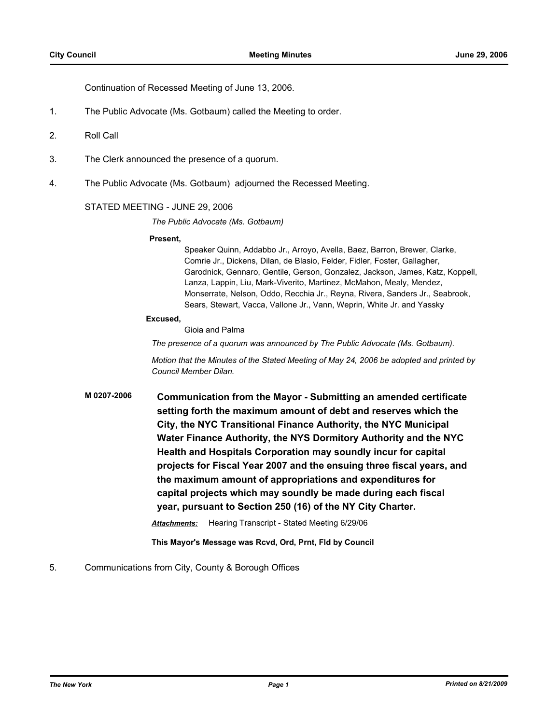Continuation of Recessed Meeting of June 13, 2006.

- 1. The Public Advocate (Ms. Gotbaum) called the Meeting to order.
- 2. Roll Call
- 3. The Clerk announced the presence of a quorum.
- 4. The Public Advocate (Ms. Gotbaum) adjourned the Recessed Meeting.

### STATED MEETING - JUNE 29, 2006

*The Public Advocate (Ms. Gotbaum)*

#### **Present,**

Speaker Quinn, Addabbo Jr., Arroyo, Avella, Baez, Barron, Brewer, Clarke, Comrie Jr., Dickens, Dilan, de Blasio, Felder, Fidler, Foster, Gallagher, Garodnick, Gennaro, Gentile, Gerson, Gonzalez, Jackson, James, Katz, Koppell, Lanza, Lappin, Liu, Mark-Viverito, Martinez, McMahon, Mealy, Mendez, Monserrate, Nelson, Oddo, Recchia Jr., Reyna, Rivera, Sanders Jr., Seabrook, Sears, Stewart, Vacca, Vallone Jr., Vann, Weprin, White Jr. and Yassky

#### **Excused,**

Gioia and Palma

*The presence of a quorum was announced by The Public Advocate (Ms. Gotbaum).*

*Motion that the Minutes of the Stated Meeting of May 24, 2006 be adopted and printed by Council Member Dilan.*

**M 0207-2006 Communication from the Mayor - Submitting an amended certificate setting forth the maximum amount of debt and reserves which the City, the NYC Transitional Finance Authority, the NYC Municipal Water Finance Authority, the NYS Dormitory Authority and the NYC Health and Hospitals Corporation may soundly incur for capital projects for Fiscal Year 2007 and the ensuing three fiscal years, and the maximum amount of appropriations and expenditures for capital projects which may soundly be made during each fiscal year, pursuant to Section 250 (16) of the NY City Charter.** *Attachments:* Hearing Transcript - Stated Meeting 6/29/06

**This Mayor's Message was Rcvd, Ord, Prnt, Fld by Council**

### 5. Communications from City, County & Borough Offices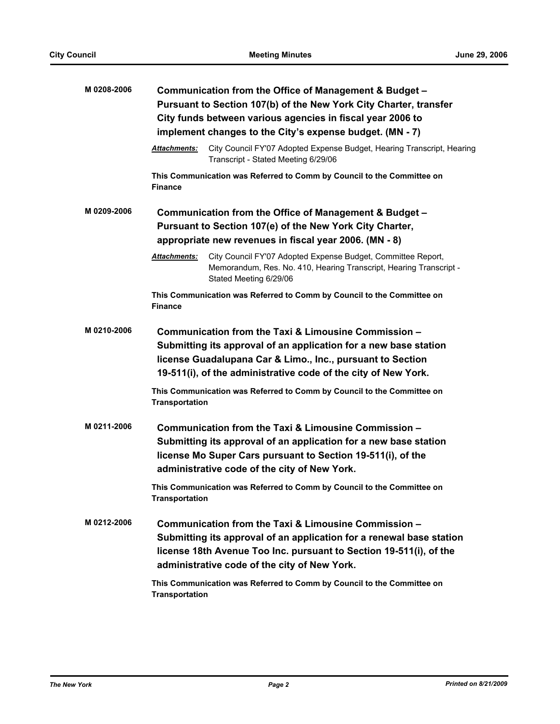| M0208-2006  | Communication from the Office of Management & Budget -<br>Pursuant to Section 107(b) of the New York City Charter, transfer<br>City funds between various agencies in fiscal year 2006 to<br>implement changes to the City's expense budget. (MN - 7)                                                                              |                                                                                                                                                                                                                                                    |  |
|-------------|------------------------------------------------------------------------------------------------------------------------------------------------------------------------------------------------------------------------------------------------------------------------------------------------------------------------------------|----------------------------------------------------------------------------------------------------------------------------------------------------------------------------------------------------------------------------------------------------|--|
|             | <b>Attachments:</b>                                                                                                                                                                                                                                                                                                                | City Council FY'07 Adopted Expense Budget, Hearing Transcript, Hearing<br>Transcript - Stated Meeting 6/29/06                                                                                                                                      |  |
|             | <b>Finance</b>                                                                                                                                                                                                                                                                                                                     | This Communication was Referred to Comm by Council to the Committee on                                                                                                                                                                             |  |
| M 0209-2006 | Communication from the Office of Management & Budget -<br>Pursuant to Section 107(e) of the New York City Charter,<br>appropriate new revenues in fiscal year 2006. (MN - 8)                                                                                                                                                       |                                                                                                                                                                                                                                                    |  |
|             | <b>Attachments:</b>                                                                                                                                                                                                                                                                                                                | City Council FY'07 Adopted Expense Budget, Committee Report,<br>Memorandum, Res. No. 410, Hearing Transcript, Hearing Transcript -<br>Stated Meeting 6/29/06                                                                                       |  |
|             | <b>Finance</b>                                                                                                                                                                                                                                                                                                                     | This Communication was Referred to Comm by Council to the Committee on                                                                                                                                                                             |  |
| M 0210-2006 | Communication from the Taxi & Limousine Commission -<br>Submitting its approval of an application for a new base station<br>license Guadalupana Car & Limo., Inc., pursuant to Section<br>19-511(i), of the administrative code of the city of New York.<br>This Communication was Referred to Comm by Council to the Committee on |                                                                                                                                                                                                                                                    |  |
| M 0211-2006 | <b>Transportation</b><br>Communication from the Taxi & Limousine Commission -<br>Submitting its approval of an application for a new base station<br>license Mo Super Cars pursuant to Section 19-511(i), of the<br>administrative code of the city of New York.                                                                   |                                                                                                                                                                                                                                                    |  |
|             | <b>Transportation</b>                                                                                                                                                                                                                                                                                                              | This Communication was Referred to Comm by Council to the Committee on                                                                                                                                                                             |  |
| M 0212-2006 |                                                                                                                                                                                                                                                                                                                                    | Communication from the Taxi & Limousine Commission -<br>Submitting its approval of an application for a renewal base station<br>license 18th Avenue Too Inc. pursuant to Section 19-511(i), of the<br>administrative code of the city of New York. |  |
|             | <b>Transportation</b>                                                                                                                                                                                                                                                                                                              | This Communication was Referred to Comm by Council to the Committee on                                                                                                                                                                             |  |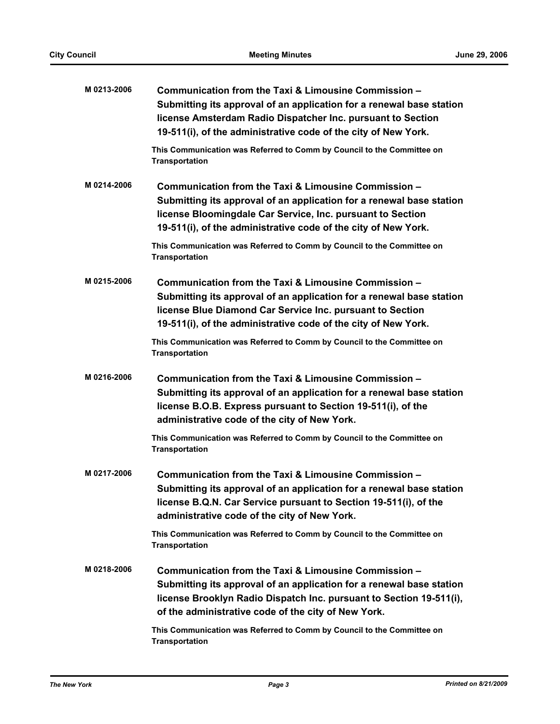| M 0213-2006 | Communication from the Taxi & Limousine Commission -<br>Submitting its approval of an application for a renewal base station<br>license Amsterdam Radio Dispatcher Inc. pursuant to Section<br>19-511(i), of the administrative code of the city of New York. |
|-------------|---------------------------------------------------------------------------------------------------------------------------------------------------------------------------------------------------------------------------------------------------------------|
|             | This Communication was Referred to Comm by Council to the Committee on<br><b>Transportation</b>                                                                                                                                                               |
| M 0214-2006 | Communication from the Taxi & Limousine Commission -<br>Submitting its approval of an application for a renewal base station<br>license Bloomingdale Car Service, Inc. pursuant to Section<br>19-511(i), of the administrative code of the city of New York.  |
|             | This Communication was Referred to Comm by Council to the Committee on<br><b>Transportation</b>                                                                                                                                                               |
| M0215-2006  | Communication from the Taxi & Limousine Commission -<br>Submitting its approval of an application for a renewal base station<br>license Blue Diamond Car Service Inc. pursuant to Section<br>19-511(i), of the administrative code of the city of New York.   |
|             | This Communication was Referred to Comm by Council to the Committee on<br><b>Transportation</b>                                                                                                                                                               |
| M0216-2006  | Communication from the Taxi & Limousine Commission -<br>Submitting its approval of an application for a renewal base station<br>license B.O.B. Express pursuant to Section 19-511(i), of the<br>administrative code of the city of New York.                  |
|             | This Communication was Referred to Comm by Council to the Committee on<br><b>Transportation</b>                                                                                                                                                               |
| M 0217-2006 | Communication from the Taxi & Limousine Commission -<br>Submitting its approval of an application for a renewal base station<br>license B.Q.N. Car Service pursuant to Section 19-511(i), of the<br>administrative code of the city of New York.              |
|             | This Communication was Referred to Comm by Council to the Committee on<br><b>Transportation</b>                                                                                                                                                               |
| M 0218-2006 | Communication from the Taxi & Limousine Commission -<br>Submitting its approval of an application for a renewal base station<br>license Brooklyn Radio Dispatch Inc. pursuant to Section 19-511(i),<br>of the administrative code of the city of New York.    |
|             | This Communication was Referred to Comm by Council to the Committee on<br><b>Transportation</b>                                                                                                                                                               |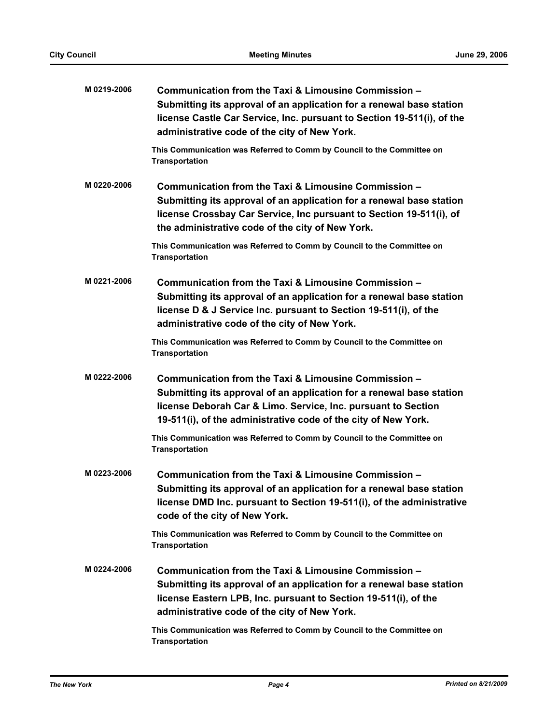| M0219-2006  | Communication from the Taxi & Limousine Commission -<br>Submitting its approval of an application for a renewal base station<br>license Castle Car Service, Inc. pursuant to Section 19-511(i), of the<br>administrative code of the city of New York.          |
|-------------|-----------------------------------------------------------------------------------------------------------------------------------------------------------------------------------------------------------------------------------------------------------------|
|             | This Communication was Referred to Comm by Council to the Committee on<br><b>Transportation</b>                                                                                                                                                                 |
| M 0220-2006 | Communication from the Taxi & Limousine Commission -<br>Submitting its approval of an application for a renewal base station<br>license Crossbay Car Service, Inc pursuant to Section 19-511(i), of<br>the administrative code of the city of New York.         |
|             | This Communication was Referred to Comm by Council to the Committee on<br><b>Transportation</b>                                                                                                                                                                 |
| M0221-2006  | Communication from the Taxi & Limousine Commission -<br>Submitting its approval of an application for a renewal base station<br>license D & J Service Inc. pursuant to Section 19-511(i), of the<br>administrative code of the city of New York.                |
|             | This Communication was Referred to Comm by Council to the Committee on<br><b>Transportation</b>                                                                                                                                                                 |
| M 0222-2006 | Communication from the Taxi & Limousine Commission -<br>Submitting its approval of an application for a renewal base station<br>license Deborah Car & Limo. Service, Inc. pursuant to Section<br>19-511(i), of the administrative code of the city of New York. |
|             | This Communication was Referred to Comm by Council to the Committee on<br><b>Transportation</b>                                                                                                                                                                 |
| M 0223-2006 | Communication from the Taxi & Limousine Commission -<br>Submitting its approval of an application for a renewal base station<br>license DMD Inc. pursuant to Section 19-511(i), of the administrative<br>code of the city of New York.                          |
|             | This Communication was Referred to Comm by Council to the Committee on<br><b>Transportation</b>                                                                                                                                                                 |
| M 0224-2006 | Communication from the Taxi & Limousine Commission -<br>Submitting its approval of an application for a renewal base station<br>license Eastern LPB, Inc. pursuant to Section 19-511(i), of the<br>administrative code of the city of New York.                 |
|             | This Communication was Referred to Comm by Council to the Committee on<br><b>Transportation</b>                                                                                                                                                                 |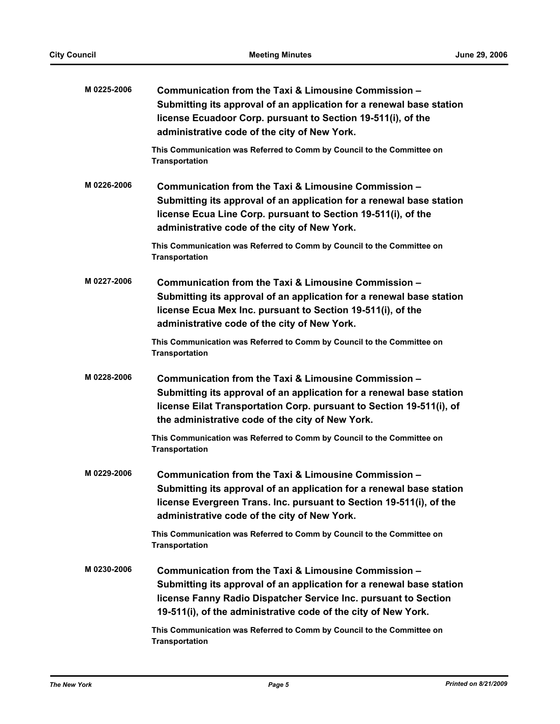| M 0225-2006 | Communication from the Taxi & Limousine Commission -<br>Submitting its approval of an application for a renewal base station<br>license Ecuadoor Corp. pursuant to Section 19-511(i), of the<br>administrative code of the city of New York.                      |
|-------------|-------------------------------------------------------------------------------------------------------------------------------------------------------------------------------------------------------------------------------------------------------------------|
|             | This Communication was Referred to Comm by Council to the Committee on<br><b>Transportation</b>                                                                                                                                                                   |
| M 0226-2006 | Communication from the Taxi & Limousine Commission -<br>Submitting its approval of an application for a renewal base station<br>license Ecua Line Corp. pursuant to Section 19-511(i), of the<br>administrative code of the city of New York.                     |
|             | This Communication was Referred to Comm by Council to the Committee on<br><b>Transportation</b>                                                                                                                                                                   |
| M 0227-2006 | Communication from the Taxi & Limousine Commission -<br>Submitting its approval of an application for a renewal base station<br>license Ecua Mex Inc. pursuant to Section 19-511(i), of the<br>administrative code of the city of New York.                       |
|             | This Communication was Referred to Comm by Council to the Committee on<br><b>Transportation</b>                                                                                                                                                                   |
| M0228-2006  | Communication from the Taxi & Limousine Commission -<br>Submitting its approval of an application for a renewal base station<br>license Eilat Transportation Corp. pursuant to Section 19-511(i), of<br>the administrative code of the city of New York.          |
|             | This Communication was Referred to Comm by Council to the Committee on<br><b>Transportation</b>                                                                                                                                                                   |
| M 0229-2006 | Communication from the Taxi & Limousine Commission -<br>Submitting its approval of an application for a renewal base station<br>license Evergreen Trans. Inc. pursuant to Section 19-511(i), of the<br>administrative code of the city of New York.               |
|             | This Communication was Referred to Comm by Council to the Committee on<br><b>Transportation</b>                                                                                                                                                                   |
| M 0230-2006 | Communication from the Taxi & Limousine Commission -<br>Submitting its approval of an application for a renewal base station<br>license Fanny Radio Dispatcher Service Inc. pursuant to Section<br>19-511(i), of the administrative code of the city of New York. |
|             | This Communication was Referred to Comm by Council to the Committee on<br><b>Transportation</b>                                                                                                                                                                   |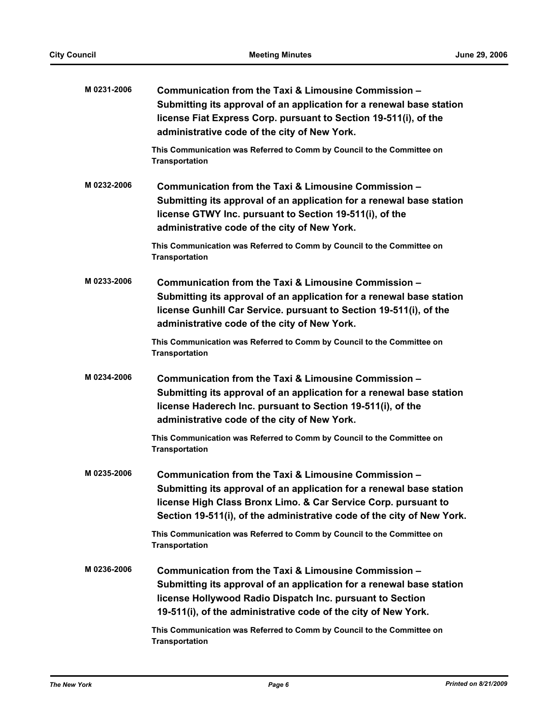| M 0231-2006 | Communication from the Taxi & Limousine Commission -<br>Submitting its approval of an application for a renewal base station<br>license Fiat Express Corp. pursuant to Section 19-511(i), of the<br>administrative code of the city of New York.                         |
|-------------|--------------------------------------------------------------------------------------------------------------------------------------------------------------------------------------------------------------------------------------------------------------------------|
|             | This Communication was Referred to Comm by Council to the Committee on<br><b>Transportation</b>                                                                                                                                                                          |
| M0232-2006  | Communication from the Taxi & Limousine Commission -<br>Submitting its approval of an application for a renewal base station<br>license GTWY Inc. pursuant to Section 19-511(i), of the<br>administrative code of the city of New York.                                  |
|             | This Communication was Referred to Comm by Council to the Committee on<br><b>Transportation</b>                                                                                                                                                                          |
| M0233-2006  | Communication from the Taxi & Limousine Commission -<br>Submitting its approval of an application for a renewal base station<br>license Gunhill Car Service. pursuant to Section 19-511(i), of the<br>administrative code of the city of New York.                       |
|             | This Communication was Referred to Comm by Council to the Committee on<br><b>Transportation</b>                                                                                                                                                                          |
| M0234-2006  | Communication from the Taxi & Limousine Commission -<br>Submitting its approval of an application for a renewal base station<br>license Haderech Inc. pursuant to Section 19-511(i), of the<br>administrative code of the city of New York.                              |
|             | This Communication was Referred to Comm by Council to the Committee on<br><b>Transportation</b>                                                                                                                                                                          |
| M0235-2006  | Communication from the Taxi & Limousine Commission -<br>Submitting its approval of an application for a renewal base station<br>license High Class Bronx Limo. & Car Service Corp. pursuant to<br>Section 19-511(i), of the administrative code of the city of New York. |
|             | This Communication was Referred to Comm by Council to the Committee on<br><b>Transportation</b>                                                                                                                                                                          |
| M0236-2006  | Communication from the Taxi & Limousine Commission -<br>Submitting its approval of an application for a renewal base station<br>license Hollywood Radio Dispatch Inc. pursuant to Section<br>19-511(i), of the administrative code of the city of New York.              |
|             | This Communication was Referred to Comm by Council to the Committee on<br><b>Transportation</b>                                                                                                                                                                          |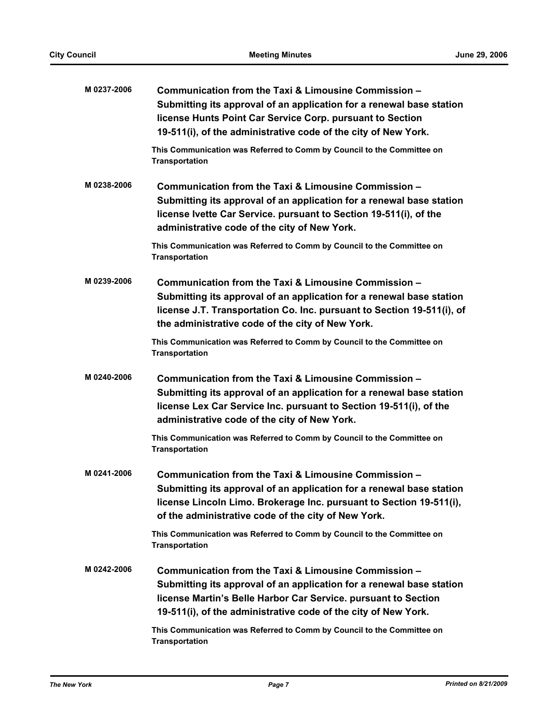| M 0237-2006 | Communication from the Taxi & Limousine Commission -<br>Submitting its approval of an application for a renewal base station<br>license Hunts Point Car Service Corp. pursuant to Section<br>19-511(i), of the administrative code of the city of New York.      |
|-------------|------------------------------------------------------------------------------------------------------------------------------------------------------------------------------------------------------------------------------------------------------------------|
|             | This Communication was Referred to Comm by Council to the Committee on<br><b>Transportation</b>                                                                                                                                                                  |
| M0238-2006  | Communication from the Taxi & Limousine Commission -<br>Submitting its approval of an application for a renewal base station<br>license Ivette Car Service. pursuant to Section 19-511(i), of the<br>administrative code of the city of New York.                |
|             | This Communication was Referred to Comm by Council to the Committee on<br><b>Transportation</b>                                                                                                                                                                  |
| M0239-2006  | Communication from the Taxi & Limousine Commission -<br>Submitting its approval of an application for a renewal base station<br>license J.T. Transportation Co. Inc. pursuant to Section 19-511(i), of<br>the administrative code of the city of New York.       |
|             | This Communication was Referred to Comm by Council to the Committee on<br><b>Transportation</b>                                                                                                                                                                  |
| M0240-2006  | Communication from the Taxi & Limousine Commission -<br>Submitting its approval of an application for a renewal base station<br>license Lex Car Service Inc. pursuant to Section 19-511(i), of the<br>administrative code of the city of New York.               |
|             | This Communication was Referred to Comm by Council to the Committee on<br><b>Transportation</b>                                                                                                                                                                  |
| M 0241-2006 | Communication from the Taxi & Limousine Commission -<br>Submitting its approval of an application for a renewal base station<br>license Lincoln Limo. Brokerage Inc. pursuant to Section 19-511(i),<br>of the administrative code of the city of New York.       |
|             | This Communication was Referred to Comm by Council to the Committee on<br><b>Transportation</b>                                                                                                                                                                  |
| M 0242-2006 | Communication from the Taxi & Limousine Commission -<br>Submitting its approval of an application for a renewal base station<br>license Martin's Belle Harbor Car Service. pursuant to Section<br>19-511(i), of the administrative code of the city of New York. |
|             | This Communication was Referred to Comm by Council to the Committee on<br><b>Transportation</b>                                                                                                                                                                  |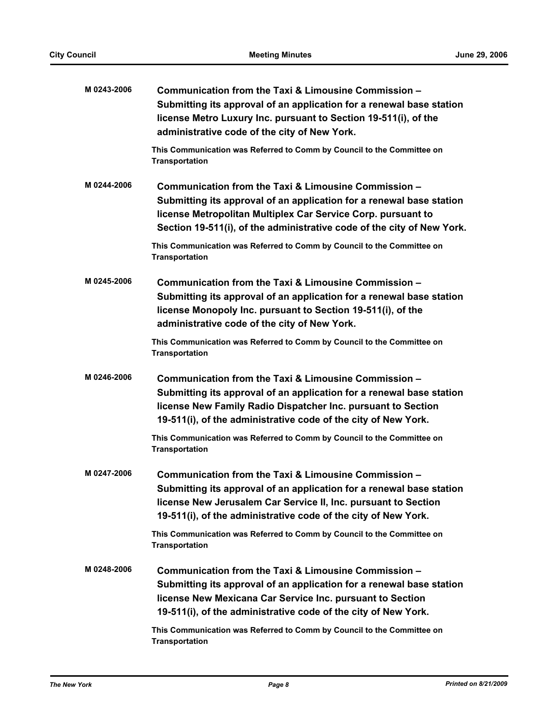| M 0243-2006 | Communication from the Taxi & Limousine Commission -<br>Submitting its approval of an application for a renewal base station<br>license Metro Luxury Inc. pursuant to Section 19-511(i), of the<br>administrative code of the city of New York.                        |
|-------------|------------------------------------------------------------------------------------------------------------------------------------------------------------------------------------------------------------------------------------------------------------------------|
|             | This Communication was Referred to Comm by Council to the Committee on<br><b>Transportation</b>                                                                                                                                                                        |
| M 0244-2006 | Communication from the Taxi & Limousine Commission -<br>Submitting its approval of an application for a renewal base station<br>license Metropolitan Multiplex Car Service Corp. pursuant to<br>Section 19-511(i), of the administrative code of the city of New York. |
|             | This Communication was Referred to Comm by Council to the Committee on<br><b>Transportation</b>                                                                                                                                                                        |
| M0245-2006  | Communication from the Taxi & Limousine Commission -<br>Submitting its approval of an application for a renewal base station<br>license Monopoly Inc. pursuant to Section 19-511(i), of the<br>administrative code of the city of New York.                            |
|             | This Communication was Referred to Comm by Council to the Committee on<br><b>Transportation</b>                                                                                                                                                                        |
| M0246-2006  | Communication from the Taxi & Limousine Commission -<br>Submitting its approval of an application for a renewal base station<br>license New Family Radio Dispatcher Inc. pursuant to Section<br>19-511(i), of the administrative code of the city of New York.         |
|             | This Communication was Referred to Comm by Council to the Committee on<br><b>Transportation</b>                                                                                                                                                                        |
| M 0247-2006 | Communication from the Taxi & Limousine Commission -<br>Submitting its approval of an application for a renewal base station<br>license New Jerusalem Car Service II, Inc. pursuant to Section<br>19-511(i), of the administrative code of the city of New York.       |
|             | This Communication was Referred to Comm by Council to the Committee on<br><b>Transportation</b>                                                                                                                                                                        |
| M0248-2006  | Communication from the Taxi & Limousine Commission -<br>Submitting its approval of an application for a renewal base station<br>license New Mexicana Car Service Inc. pursuant to Section<br>19-511(i), of the administrative code of the city of New York.            |
|             | This Communication was Referred to Comm by Council to the Committee on<br><b>Transportation</b>                                                                                                                                                                        |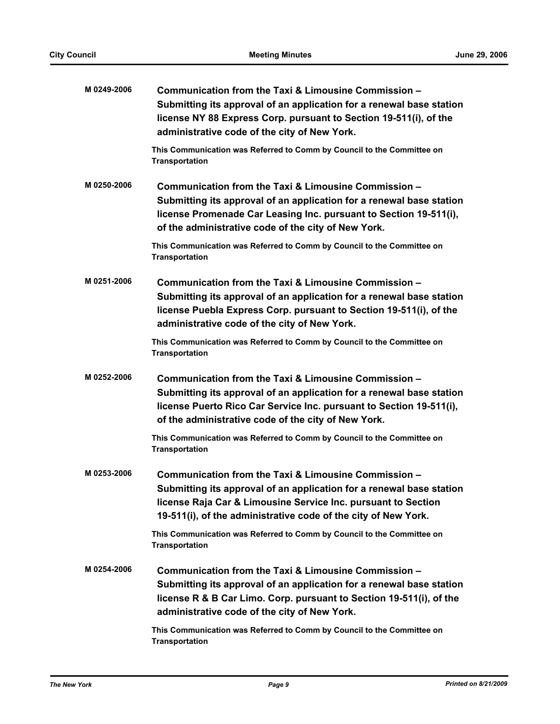| M0249-2006  | Communication from the Taxi & Limousine Commission -<br>Submitting its approval of an application for a renewal base station<br>license NY 88 Express Corp. pursuant to Section 19-511(i), of the<br>administrative code of the city of New York.               |
|-------------|-----------------------------------------------------------------------------------------------------------------------------------------------------------------------------------------------------------------------------------------------------------------|
|             | This Communication was Referred to Comm by Council to the Committee on<br><b>Transportation</b>                                                                                                                                                                 |
| M0250-2006  | Communication from the Taxi & Limousine Commission -<br>Submitting its approval of an application for a renewal base station<br>license Promenade Car Leasing Inc. pursuant to Section 19-511(i),<br>of the administrative code of the city of New York.        |
|             | This Communication was Referred to Comm by Council to the Committee on<br><b>Transportation</b>                                                                                                                                                                 |
| M0251-2006  | Communication from the Taxi & Limousine Commission -<br>Submitting its approval of an application for a renewal base station<br>license Puebla Express Corp. pursuant to Section 19-511(i), of the<br>administrative code of the city of New York.              |
|             | This Communication was Referred to Comm by Council to the Committee on<br><b>Transportation</b>                                                                                                                                                                 |
| M0252-2006  | Communication from the Taxi & Limousine Commission -<br>Submitting its approval of an application for a renewal base station<br>license Puerto Rico Car Service Inc. pursuant to Section 19-511(i),<br>of the administrative code of the city of New York.      |
|             | This Communication was Referred to Comm by Council to the Committee on<br><b>Transportation</b>                                                                                                                                                                 |
| M0253-2006  | Communication from the Taxi & Limousine Commission -<br>Submitting its approval of an application for a renewal base station<br>license Raja Car & Limousine Service Inc. pursuant to Section<br>19-511(i), of the administrative code of the city of New York. |
|             | This Communication was Referred to Comm by Council to the Committee on<br><b>Transportation</b>                                                                                                                                                                 |
| M 0254-2006 | Communication from the Taxi & Limousine Commission -<br>Submitting its approval of an application for a renewal base station<br>license R & B Car Limo. Corp. pursuant to Section 19-511(i), of the<br>administrative code of the city of New York.             |
|             | This Communication was Referred to Comm by Council to the Committee on<br><b>Transportation</b>                                                                                                                                                                 |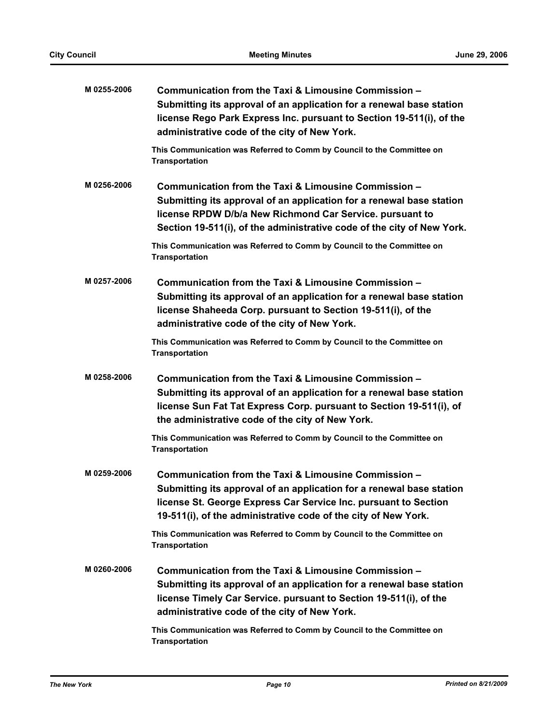| M 0255-2006 | Communication from the Taxi & Limousine Commission -<br>Submitting its approval of an application for a renewal base station<br>license Rego Park Express Inc. pursuant to Section 19-511(i), of the<br>administrative code of the city of New York.               |
|-------------|--------------------------------------------------------------------------------------------------------------------------------------------------------------------------------------------------------------------------------------------------------------------|
|             | This Communication was Referred to Comm by Council to the Committee on<br><b>Transportation</b>                                                                                                                                                                    |
| M 0256-2006 | Communication from the Taxi & Limousine Commission -<br>Submitting its approval of an application for a renewal base station<br>license RPDW D/b/a New Richmond Car Service. pursuant to<br>Section 19-511(i), of the administrative code of the city of New York. |
|             | This Communication was Referred to Comm by Council to the Committee on<br><b>Transportation</b>                                                                                                                                                                    |
| M 0257-2006 | Communication from the Taxi & Limousine Commission -<br>Submitting its approval of an application for a renewal base station<br>license Shaheeda Corp. pursuant to Section 19-511(i), of the<br>administrative code of the city of New York.                       |
|             | This Communication was Referred to Comm by Council to the Committee on<br><b>Transportation</b>                                                                                                                                                                    |
| M0258-2006  | Communication from the Taxi & Limousine Commission -<br>Submitting its approval of an application for a renewal base station<br>license Sun Fat Tat Express Corp. pursuant to Section 19-511(i), of<br>the administrative code of the city of New York.            |
|             | This Communication was Referred to Comm by Council to the Committee on<br><b>Transportation</b>                                                                                                                                                                    |
| M 0259-2006 | Communication from the Taxi & Limousine Commission -<br>Submitting its approval of an application for a renewal base station<br>license St. George Express Car Service Inc. pursuant to Section<br>19-511(i), of the administrative code of the city of New York.  |
|             | This Communication was Referred to Comm by Council to the Committee on<br><b>Transportation</b>                                                                                                                                                                    |
| M0260-2006  | Communication from the Taxi & Limousine Commission -<br>Submitting its approval of an application for a renewal base station<br>license Timely Car Service. pursuant to Section 19-511(i), of the<br>administrative code of the city of New York.                  |
|             | This Communication was Referred to Comm by Council to the Committee on<br><b>Transportation</b>                                                                                                                                                                    |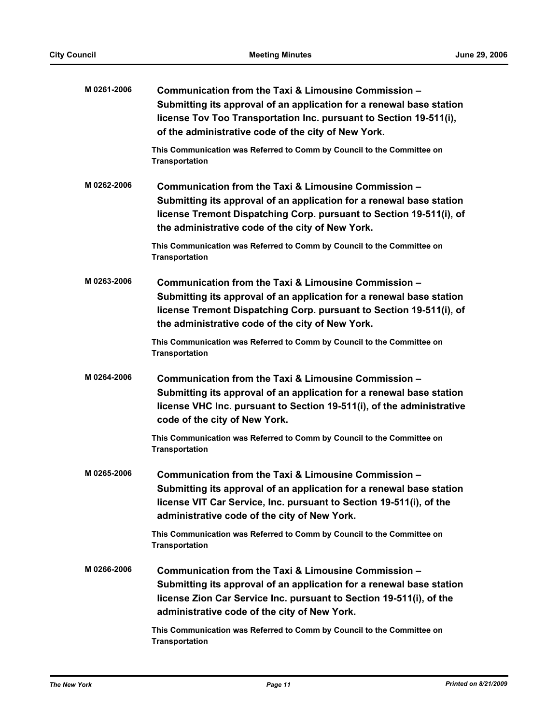| M 0261-2006 | Communication from the Taxi & Limousine Commission -<br>Submitting its approval of an application for a renewal base station<br>license Tov Too Transportation Inc. pursuant to Section 19-511(i),<br>of the administrative code of the city of New York. |
|-------------|-----------------------------------------------------------------------------------------------------------------------------------------------------------------------------------------------------------------------------------------------------------|
|             | This Communication was Referred to Comm by Council to the Committee on<br><b>Transportation</b>                                                                                                                                                           |
| M0262-2006  | Communication from the Taxi & Limousine Commission -<br>Submitting its approval of an application for a renewal base station<br>license Tremont Dispatching Corp. pursuant to Section 19-511(i), of<br>the administrative code of the city of New York.   |
|             | This Communication was Referred to Comm by Council to the Committee on<br><b>Transportation</b>                                                                                                                                                           |
| M0263-2006  | Communication from the Taxi & Limousine Commission -<br>Submitting its approval of an application for a renewal base station<br>license Tremont Dispatching Corp. pursuant to Section 19-511(i), of<br>the administrative code of the city of New York.   |
|             | This Communication was Referred to Comm by Council to the Committee on<br><b>Transportation</b>                                                                                                                                                           |
| M0264-2006  | Communication from the Taxi & Limousine Commission -<br>Submitting its approval of an application for a renewal base station<br>license VHC Inc. pursuant to Section 19-511(i), of the administrative<br>code of the city of New York.                    |
|             | This Communication was Referred to Comm by Council to the Committee on<br><b>Transportation</b>                                                                                                                                                           |
| M 0265-2006 | Communication from the Taxi & Limousine Commission -<br>Submitting its approval of an application for a renewal base station<br>license VIT Car Service, Inc. pursuant to Section 19-511(i), of the<br>administrative code of the city of New York.       |
|             | This Communication was Referred to Comm by Council to the Committee on<br><b>Transportation</b>                                                                                                                                                           |
| M0266-2006  | Communication from the Taxi & Limousine Commission -<br>Submitting its approval of an application for a renewal base station<br>license Zion Car Service Inc. pursuant to Section 19-511(i), of the<br>administrative code of the city of New York.       |
|             | This Communication was Referred to Comm by Council to the Committee on<br><b>Transportation</b>                                                                                                                                                           |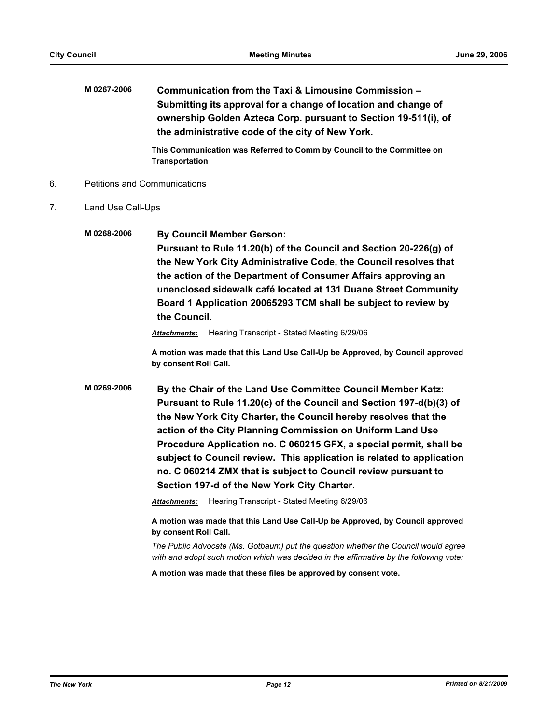**M 0267-2006 Communication from the Taxi & Limousine Commission – Submitting its approval for a change of location and change of ownership Golden Azteca Corp. pursuant to Section 19-511(i), of the administrative code of the city of New York.**

> **This Communication was Referred to Comm by Council to the Committee on Transportation**

- 6. Petitions and Communications
- 7. Land Use Call-Ups
	- **M 0268-2006 By Council Member Gerson:**

**Pursuant to Rule 11.20(b) of the Council and Section 20-226(g) of the New York City Administrative Code, the Council resolves that the action of the Department of Consumer Affairs approving an unenclosed sidewalk café located at 131 Duane Street Community Board 1 Application 20065293 TCM shall be subject to review by the Council.**

*Attachments:* Hearing Transcript - Stated Meeting 6/29/06

**A motion was made that this Land Use Call-Up be Approved, by Council approved by consent Roll Call.**

**M 0269-2006 By the Chair of the Land Use Committee Council Member Katz: Pursuant to Rule 11.20(c) of the Council and Section 197-d(b)(3) of the New York City Charter, the Council hereby resolves that the action of the City Planning Commission on Uniform Land Use Procedure Application no. C 060215 GFX, a special permit, shall be subject to Council review. This application is related to application no. C 060214 ZMX that is subject to Council review pursuant to Section 197-d of the New York City Charter.**

*Attachments:* Hearing Transcript - Stated Meeting 6/29/06

**A motion was made that this Land Use Call-Up be Approved, by Council approved by consent Roll Call.**

*The Public Advocate (Ms. Gotbaum) put the question whether the Council would agree with and adopt such motion which was decided in the affirmative by the following vote:*

**A motion was made that these files be approved by consent vote.**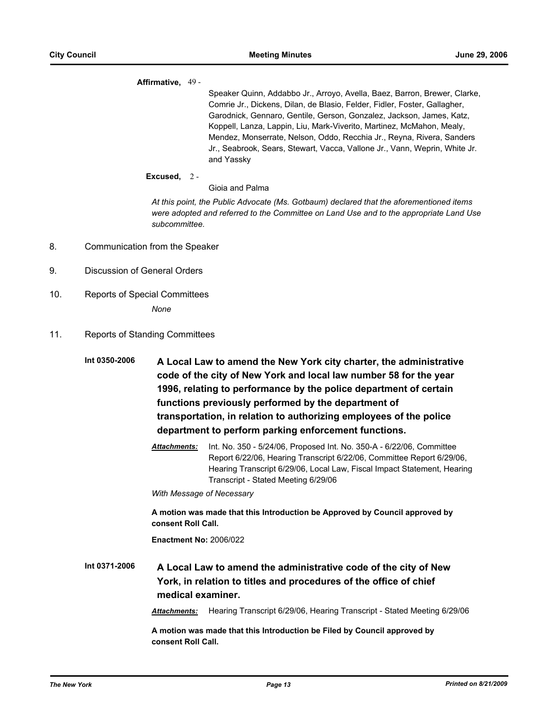### **Affirmative,** 49 -

Speaker Quinn, Addabbo Jr., Arroyo, Avella, Baez, Barron, Brewer, Clarke, Comrie Jr., Dickens, Dilan, de Blasio, Felder, Fidler, Foster, Gallagher, Garodnick, Gennaro, Gentile, Gerson, Gonzalez, Jackson, James, Katz, Koppell, Lanza, Lappin, Liu, Mark-Viverito, Martinez, McMahon, Mealy, Mendez, Monserrate, Nelson, Oddo, Recchia Jr., Reyna, Rivera, Sanders Jr., Seabrook, Sears, Stewart, Vacca, Vallone Jr., Vann, Weprin, White Jr. and Yassky

### **Excused,** 2 -

Gioia and Palma

*At this point, the Public Advocate (Ms. Gotbaum) declared that the aforementioned items were adopted and referred to the Committee on Land Use and to the appropriate Land Use subcommittee.*

- 8. Communication from the Speaker
- 9. Discussion of General Orders
- 10. Reports of Special Committees

*None*

11. Reports of Standing Committees

**Int 0350-2006 A Local Law to amend the New York city charter, the administrative code of the city of New York and local law number 58 for the year 1996, relating to performance by the police department of certain functions previously performed by the department of transportation, in relation to authorizing employees of the police department to perform parking enforcement functions.**

> *Attachments:* Int. No. 350 - 5/24/06, Proposed Int. No. 350-A - 6/22/06, Committee Report 6/22/06, Hearing Transcript 6/22/06, Committee Report 6/29/06, Hearing Transcript 6/29/06, Local Law, Fiscal Impact Statement, Hearing Transcript - Stated Meeting 6/29/06

*With Message of Necessary*

**A motion was made that this Introduction be Approved by Council approved by consent Roll Call.**

**Enactment No:** 2006/022

**Int 0371-2006 A Local Law to amend the administrative code of the city of New York, in relation to titles and procedures of the office of chief medical examiner.**

*Attachments:* Hearing Transcript 6/29/06, Hearing Transcript - Stated Meeting 6/29/06

**A motion was made that this Introduction be Filed by Council approved by consent Roll Call.**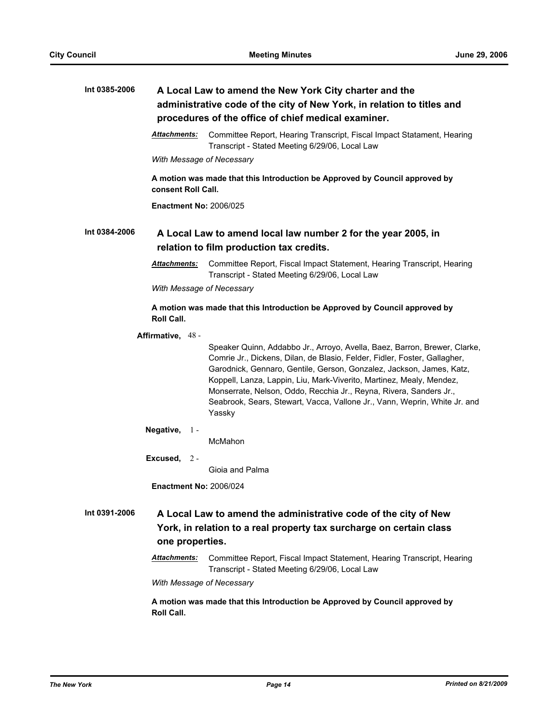| Int 0385-2006     | A Local Law to amend the New York City charter and the<br>administrative code of the city of New York, in relation to titles and<br>procedures of the office of chief medical examiner. |                                                                                                                                                                                                                                                                                                                                                                                                                                                                     |  |  |
|-------------------|-----------------------------------------------------------------------------------------------------------------------------------------------------------------------------------------|---------------------------------------------------------------------------------------------------------------------------------------------------------------------------------------------------------------------------------------------------------------------------------------------------------------------------------------------------------------------------------------------------------------------------------------------------------------------|--|--|
|                   | <b>Attachments:</b>                                                                                                                                                                     | Committee Report, Hearing Transcript, Fiscal Impact Statament, Hearing<br>Transcript - Stated Meeting 6/29/06, Local Law                                                                                                                                                                                                                                                                                                                                            |  |  |
|                   |                                                                                                                                                                                         | With Message of Necessary                                                                                                                                                                                                                                                                                                                                                                                                                                           |  |  |
|                   |                                                                                                                                                                                         | A motion was made that this Introduction be Approved by Council approved by<br>consent Roll Call.                                                                                                                                                                                                                                                                                                                                                                   |  |  |
|                   | <b>Enactment No: 2006/025</b>                                                                                                                                                           |                                                                                                                                                                                                                                                                                                                                                                                                                                                                     |  |  |
| Int 0384-2006     | A Local Law to amend local law number 2 for the year 2005, in<br>relation to film production tax credits.                                                                               |                                                                                                                                                                                                                                                                                                                                                                                                                                                                     |  |  |
|                   | <b>Attachments:</b>                                                                                                                                                                     | Committee Report, Fiscal Impact Statement, Hearing Transcript, Hearing<br>Transcript - Stated Meeting 6/29/06, Local Law                                                                                                                                                                                                                                                                                                                                            |  |  |
|                   |                                                                                                                                                                                         | With Message of Necessary                                                                                                                                                                                                                                                                                                                                                                                                                                           |  |  |
|                   | <b>Roll Call.</b>                                                                                                                                                                       | A motion was made that this Introduction be Approved by Council approved by                                                                                                                                                                                                                                                                                                                                                                                         |  |  |
| Affirmative, 48 - |                                                                                                                                                                                         |                                                                                                                                                                                                                                                                                                                                                                                                                                                                     |  |  |
|                   |                                                                                                                                                                                         | Speaker Quinn, Addabbo Jr., Arroyo, Avella, Baez, Barron, Brewer, Clarke,<br>Comrie Jr., Dickens, Dilan, de Blasio, Felder, Fidler, Foster, Gallagher,<br>Garodnick, Gennaro, Gentile, Gerson, Gonzalez, Jackson, James, Katz,<br>Koppell, Lanza, Lappin, Liu, Mark-Viverito, Martinez, Mealy, Mendez,<br>Monserrate, Nelson, Oddo, Recchia Jr., Reyna, Rivera, Sanders Jr.,<br>Seabrook, Sears, Stewart, Vacca, Vallone Jr., Vann, Weprin, White Jr. and<br>Yassky |  |  |
|                   | Negative,<br>$1 -$                                                                                                                                                                      | McMahon                                                                                                                                                                                                                                                                                                                                                                                                                                                             |  |  |
|                   | Excused, $2 -$                                                                                                                                                                          |                                                                                                                                                                                                                                                                                                                                                                                                                                                                     |  |  |
|                   |                                                                                                                                                                                         | Gioja and Palma                                                                                                                                                                                                                                                                                                                                                                                                                                                     |  |  |
|                   | <b>Enactment No: 2006/024</b>                                                                                                                                                           |                                                                                                                                                                                                                                                                                                                                                                                                                                                                     |  |  |
| Int 0391-2006     |                                                                                                                                                                                         | A Local Law to amend the administrative code of the city of New<br>York, in relation to a real property tax surcharge on certain class                                                                                                                                                                                                                                                                                                                              |  |  |
|                   | one properties.                                                                                                                                                                         |                                                                                                                                                                                                                                                                                                                                                                                                                                                                     |  |  |
|                   | <b>Attachments:</b>                                                                                                                                                                     | Committee Report, Fiscal Impact Statement, Hearing Transcript, Hearing<br>Transcript - Stated Meeting 6/29/06, Local Law                                                                                                                                                                                                                                                                                                                                            |  |  |
|                   |                                                                                                                                                                                         | With Message of Necessary                                                                                                                                                                                                                                                                                                                                                                                                                                           |  |  |
|                   | Roll Call.                                                                                                                                                                              | A motion was made that this Introduction be Approved by Council approved by                                                                                                                                                                                                                                                                                                                                                                                         |  |  |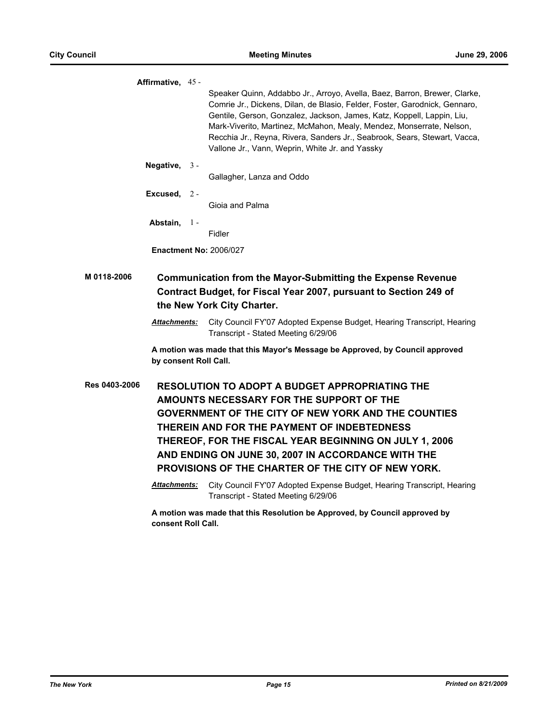|               | Affirmative, 45 -     |       |                                                                                                                                                                                                                                                                                                                                                                                                                                           |
|---------------|-----------------------|-------|-------------------------------------------------------------------------------------------------------------------------------------------------------------------------------------------------------------------------------------------------------------------------------------------------------------------------------------------------------------------------------------------------------------------------------------------|
|               |                       |       | Speaker Quinn, Addabbo Jr., Arroyo, Avella, Baez, Barron, Brewer, Clarke,<br>Comrie Jr., Dickens, Dilan, de Blasio, Felder, Foster, Garodnick, Gennaro,<br>Gentile, Gerson, Gonzalez, Jackson, James, Katz, Koppell, Lappin, Liu,<br>Mark-Viverito, Martinez, McMahon, Mealy, Mendez, Monserrate, Nelson,<br>Recchia Jr., Reyna, Rivera, Sanders Jr., Seabrook, Sears, Stewart, Vacca,<br>Vallone Jr., Vann, Weprin, White Jr. and Yassky |
|               | Negative,             | $3 -$ | Gallagher, Lanza and Oddo                                                                                                                                                                                                                                                                                                                                                                                                                 |
|               | Excused, $2-$         |       | Gioja and Palma                                                                                                                                                                                                                                                                                                                                                                                                                           |
|               | Abstain,              | $1 -$ | Fidler                                                                                                                                                                                                                                                                                                                                                                                                                                    |
|               |                       |       | <b>Enactment No: 2006/027</b>                                                                                                                                                                                                                                                                                                                                                                                                             |
| M 0118-2006   | <b>Attachments:</b>   |       | <b>Communication from the Mayor-Submitting the Expense Revenue</b><br>Contract Budget, for Fiscal Year 2007, pursuant to Section 249 of<br>the New York City Charter.<br>City Council FY'07 Adopted Expense Budget, Hearing Transcript, Hearing<br>Transcript - Stated Meeting 6/29/06                                                                                                                                                    |
|               | by consent Roll Call. |       | A motion was made that this Mayor's Message be Approved, by Council approved                                                                                                                                                                                                                                                                                                                                                              |
| Res 0403-2006 |                       |       | <b>RESOLUTION TO ADOPT A BUDGET APPROPRIATING THE</b><br>AMOUNTS NECESSARY FOR THE SUPPORT OF THE<br><b>GOVERNMENT OF THE CITY OF NEW YORK AND THE COUNTIES</b><br>THEREIN AND FOR THE PAYMENT OF INDEBTEDNESS<br>THEREOF, FOR THE FISCAL YEAR BEGINNING ON JULY 1, 2006<br>AND ENDING ON JUNE 30, 2007 IN ACCORDANCE WITH THE<br>PROVISIONS OF THE CHARTER OF THE CITY OF NEW YORK.                                                      |
|               | <u> Attachments:</u>  |       | City Council FY'07 Adopted Expense Budget, Hearing Transcript, Hearing<br>Transcript - Stated Meeting 6/29/06                                                                                                                                                                                                                                                                                                                             |
|               | consent Roll Call.    |       | A motion was made that this Resolution be Approved, by Council approved by                                                                                                                                                                                                                                                                                                                                                                |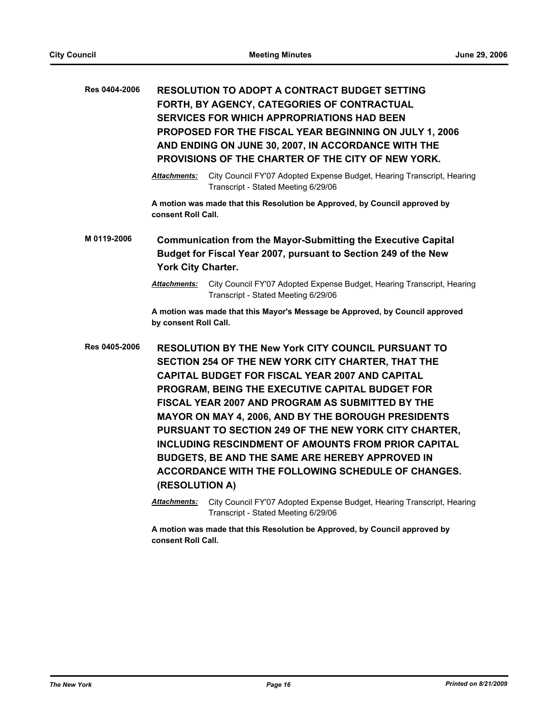| Res 0404-2006                   |                                                                                                                                                               | <b>RESOLUTION TO ADOPT A CONTRACT BUDGET SETTING</b><br>FORTH, BY AGENCY, CATEGORIES OF CONTRACTUAL<br><b>SERVICES FOR WHICH APPROPRIATIONS HAD BEEN</b><br>PROPOSED FOR THE FISCAL YEAR BEGINNING ON JULY 1, 2006<br>AND ENDING ON JUNE 30, 2007, IN ACCORDANCE WITH THE<br>PROVISIONS OF THE CHARTER OF THE CITY OF NEW YORK.                                                                                                                                                                                                                                          |  |
|---------------------------------|---------------------------------------------------------------------------------------------------------------------------------------------------------------|--------------------------------------------------------------------------------------------------------------------------------------------------------------------------------------------------------------------------------------------------------------------------------------------------------------------------------------------------------------------------------------------------------------------------------------------------------------------------------------------------------------------------------------------------------------------------|--|
|                                 | <b>Attachments:</b>                                                                                                                                           | City Council FY'07 Adopted Expense Budget, Hearing Transcript, Hearing<br>Transcript - Stated Meeting 6/29/06                                                                                                                                                                                                                                                                                                                                                                                                                                                            |  |
|                                 | consent Roll Call.                                                                                                                                            | A motion was made that this Resolution be Approved, by Council approved by                                                                                                                                                                                                                                                                                                                                                                                                                                                                                               |  |
| M 0119-2006                     | <b>Communication from the Mayor-Submitting the Executive Capital</b><br>Budget for Fiscal Year 2007, pursuant to Section 249 of the New<br>York City Charter. |                                                                                                                                                                                                                                                                                                                                                                                                                                                                                                                                                                          |  |
|                                 | <b>Attachments:</b>                                                                                                                                           | City Council FY'07 Adopted Expense Budget, Hearing Transcript, Hearing<br>Transcript - Stated Meeting 6/29/06                                                                                                                                                                                                                                                                                                                                                                                                                                                            |  |
|                                 | by consent Roll Call.                                                                                                                                         | A motion was made that this Mayor's Message be Approved, by Council approved                                                                                                                                                                                                                                                                                                                                                                                                                                                                                             |  |
| Res 0405-2006<br>(RESOLUTION A) |                                                                                                                                                               | <b>RESOLUTION BY THE New York CITY COUNCIL PURSUANT TO</b><br>SECTION 254 OF THE NEW YORK CITY CHARTER, THAT THE<br><b>CAPITAL BUDGET FOR FISCAL YEAR 2007 AND CAPITAL</b><br>PROGRAM, BEING THE EXECUTIVE CAPITAL BUDGET FOR<br>FISCAL YEAR 2007 AND PROGRAM AS SUBMITTED BY THE<br>MAYOR ON MAY 4, 2006, AND BY THE BOROUGH PRESIDENTS<br>PURSUANT TO SECTION 249 OF THE NEW YORK CITY CHARTER,<br><b>INCLUDING RESCINDMENT OF AMOUNTS FROM PRIOR CAPITAL</b><br>BUDGETS, BE AND THE SAME ARE HEREBY APPROVED IN<br>ACCORDANCE WITH THE FOLLOWING SCHEDULE OF CHANGES. |  |
|                                 | <b>Attachments:</b>                                                                                                                                           | City Council FY'07 Adopted Expense Budget, Hearing Transcript, Hearing<br>Transcript - Stated Meeting 6/29/06                                                                                                                                                                                                                                                                                                                                                                                                                                                            |  |
|                                 |                                                                                                                                                               | A motion was made that this Resolution be Approved, by Council approved by                                                                                                                                                                                                                                                                                                                                                                                                                                                                                               |  |

**consent Roll Call.**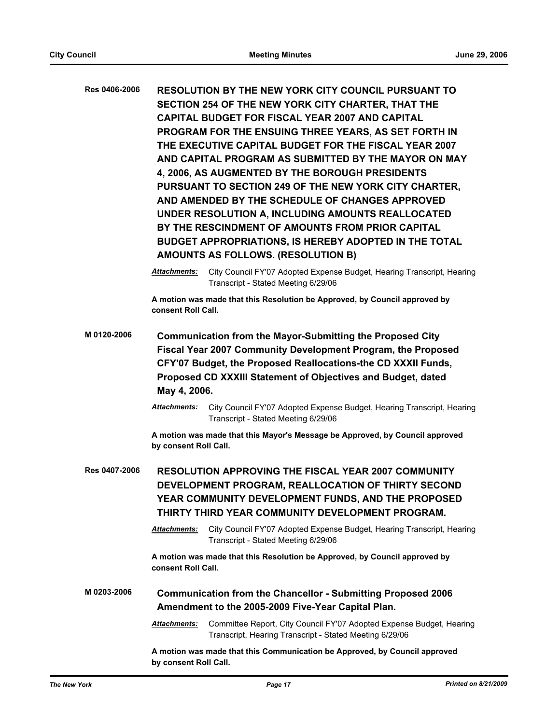| Res 0406-2006 | <b>RESOLUTION BY THE NEW YORK CITY COUNCIL PURSUANT TO</b><br>SECTION 254 OF THE NEW YORK CITY CHARTER, THAT THE<br><b>CAPITAL BUDGET FOR FISCAL YEAR 2007 AND CAPITAL</b><br>PROGRAM FOR THE ENSUING THREE YEARS, AS SET FORTH IN<br>THE EXECUTIVE CAPITAL BUDGET FOR THE FISCAL YEAR 2007<br>AND CAPITAL PROGRAM AS SUBMITTED BY THE MAYOR ON MAY<br>4, 2006, AS AUGMENTED BY THE BOROUGH PRESIDENTS<br>PURSUANT TO SECTION 249 OF THE NEW YORK CITY CHARTER,<br>AND AMENDED BY THE SCHEDULE OF CHANGES APPROVED<br>UNDER RESOLUTION A, INCLUDING AMOUNTS REALLOCATED<br>BY THE RESCINDMENT OF AMOUNTS FROM PRIOR CAPITAL<br>BUDGET APPROPRIATIONS, IS HEREBY ADOPTED IN THE TOTAL<br>AMOUNTS AS FOLLOWS. (RESOLUTION B) |  |
|---------------|----------------------------------------------------------------------------------------------------------------------------------------------------------------------------------------------------------------------------------------------------------------------------------------------------------------------------------------------------------------------------------------------------------------------------------------------------------------------------------------------------------------------------------------------------------------------------------------------------------------------------------------------------------------------------------------------------------------------------|--|
|               | City Council FY'07 Adopted Expense Budget, Hearing Transcript, Hearing<br><b>Attachments:</b><br>Transcript - Stated Meeting 6/29/06                                                                                                                                                                                                                                                                                                                                                                                                                                                                                                                                                                                       |  |
|               | A motion was made that this Resolution be Approved, by Council approved by<br>consent Roll Call.                                                                                                                                                                                                                                                                                                                                                                                                                                                                                                                                                                                                                           |  |
| M0120-2006    | <b>Communication from the Mayor-Submitting the Proposed City</b><br>Fiscal Year 2007 Community Development Program, the Proposed<br>CFY'07 Budget, the Proposed Reallocations-the CD XXXII Funds,<br>Proposed CD XXXIII Statement of Objectives and Budget, dated<br>May 4, 2006.                                                                                                                                                                                                                                                                                                                                                                                                                                          |  |
|               | City Council FY'07 Adopted Expense Budget, Hearing Transcript, Hearing<br>Attachments:<br>Transcript - Stated Meeting 6/29/06                                                                                                                                                                                                                                                                                                                                                                                                                                                                                                                                                                                              |  |
|               | A motion was made that this Mayor's Message be Approved, by Council approved<br>by consent Roll Call.                                                                                                                                                                                                                                                                                                                                                                                                                                                                                                                                                                                                                      |  |
| Res 0407-2006 | <b>RESOLUTION APPROVING THE FISCAL YEAR 2007 COMMUNITY</b><br>DEVELOPMENT PROGRAM, REALLOCATION OF THIRTY SECOND<br>YEAR COMMUNITY DEVELOPMENT FUNDS, AND THE PROPOSED<br>THIRTY THIRD YEAR COMMUNITY DEVELOPMENT PROGRAM.                                                                                                                                                                                                                                                                                                                                                                                                                                                                                                 |  |
|               | Attachments:<br>City Council FY'07 Adopted Expense Budget, Hearing Transcript, Hearing<br>Transcript - Stated Meeting 6/29/06                                                                                                                                                                                                                                                                                                                                                                                                                                                                                                                                                                                              |  |
|               | A motion was made that this Resolution be Approved, by Council approved by<br>consent Roll Call.                                                                                                                                                                                                                                                                                                                                                                                                                                                                                                                                                                                                                           |  |
| M 0203-2006   | <b>Communication from the Chancellor - Submitting Proposed 2006</b><br>Amendment to the 2005-2009 Five-Year Capital Plan.                                                                                                                                                                                                                                                                                                                                                                                                                                                                                                                                                                                                  |  |
|               | Committee Report, City Council FY'07 Adopted Expense Budget, Hearing<br><u> Attachments:</u><br>Transcript, Hearing Transcript - Stated Meeting 6/29/06                                                                                                                                                                                                                                                                                                                                                                                                                                                                                                                                                                    |  |
|               | A motion was made that this Communication be Approved, by Council approved<br>by consent Roll Call.                                                                                                                                                                                                                                                                                                                                                                                                                                                                                                                                                                                                                        |  |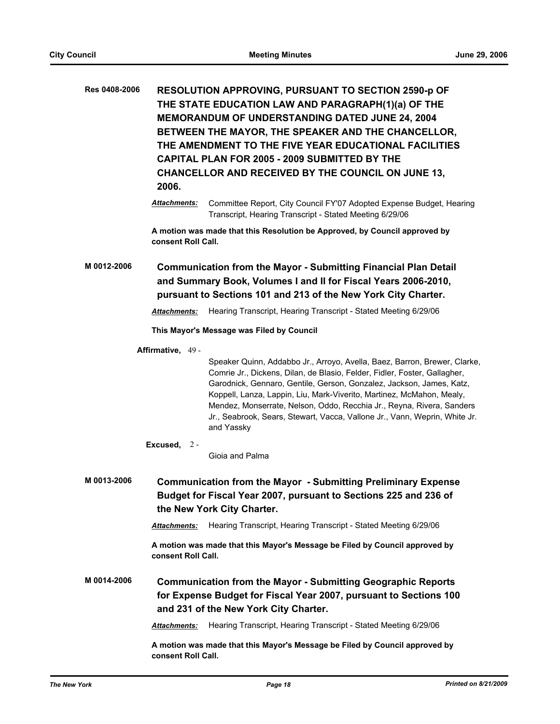| Res 0408-2006                                                                                                                                                                                                             | 2006.               | <b>RESOLUTION APPROVING, PURSUANT TO SECTION 2590-p OF</b><br>THE STATE EDUCATION LAW AND PARAGRAPH(1)(a) OF THE<br><b>MEMORANDUM OF UNDERSTANDING DATED JUNE 24, 2004</b><br>BETWEEN THE MAYOR, THE SPEAKER AND THE CHANCELLOR,<br>THE AMENDMENT TO THE FIVE YEAR EDUCATIONAL FACILITIES<br>CAPITAL PLAN FOR 2005 - 2009 SUBMITTED BY THE<br>CHANCELLOR AND RECEIVED BY THE COUNCIL ON JUNE 13,                                                                             |
|---------------------------------------------------------------------------------------------------------------------------------------------------------------------------------------------------------------------------|---------------------|------------------------------------------------------------------------------------------------------------------------------------------------------------------------------------------------------------------------------------------------------------------------------------------------------------------------------------------------------------------------------------------------------------------------------------------------------------------------------|
|                                                                                                                                                                                                                           | <b>Attachments:</b> | Committee Report, City Council FY'07 Adopted Expense Budget, Hearing<br>Transcript, Hearing Transcript - Stated Meeting 6/29/06                                                                                                                                                                                                                                                                                                                                              |
|                                                                                                                                                                                                                           | consent Roll Call.  | A motion was made that this Resolution be Approved, by Council approved by                                                                                                                                                                                                                                                                                                                                                                                                   |
| M 0012-2006<br><b>Communication from the Mayor - Submitting Financial Plan Detail</b><br>and Summary Book, Volumes I and II for Fiscal Years 2006-2010,<br>pursuant to Sections 101 and 213 of the New York City Charter. |                     |                                                                                                                                                                                                                                                                                                                                                                                                                                                                              |
|                                                                                                                                                                                                                           | <b>Attachments:</b> | Hearing Transcript, Hearing Transcript - Stated Meeting 6/29/06                                                                                                                                                                                                                                                                                                                                                                                                              |
|                                                                                                                                                                                                                           |                     | This Mayor's Message was Filed by Council                                                                                                                                                                                                                                                                                                                                                                                                                                    |
|                                                                                                                                                                                                                           | Affirmative, 49 -   |                                                                                                                                                                                                                                                                                                                                                                                                                                                                              |
|                                                                                                                                                                                                                           |                     | Speaker Quinn, Addabbo Jr., Arroyo, Avella, Baez, Barron, Brewer, Clarke,<br>Comrie Jr., Dickens, Dilan, de Blasio, Felder, Fidler, Foster, Gallagher,<br>Garodnick, Gennaro, Gentile, Gerson, Gonzalez, Jackson, James, Katz,<br>Koppell, Lanza, Lappin, Liu, Mark-Viverito, Martinez, McMahon, Mealy,<br>Mendez, Monserrate, Nelson, Oddo, Recchia Jr., Reyna, Rivera, Sanders<br>Jr., Seabrook, Sears, Stewart, Vacca, Vallone Jr., Vann, Weprin, White Jr.<br>and Yassky |
|                                                                                                                                                                                                                           | Excused, $2 -$      | Gioia and Palma                                                                                                                                                                                                                                                                                                                                                                                                                                                              |
| M 0013-2006                                                                                                                                                                                                               |                     | <b>Communication from the Mayor - Submitting Preliminary Expense</b><br>Budget for Fiscal Year 2007, pursuant to Sections 225 and 236 of<br>the New York City Charter.                                                                                                                                                                                                                                                                                                       |
|                                                                                                                                                                                                                           | <b>Attachments:</b> | Hearing Transcript, Hearing Transcript - Stated Meeting 6/29/06                                                                                                                                                                                                                                                                                                                                                                                                              |
|                                                                                                                                                                                                                           | consent Roll Call.  | A motion was made that this Mayor's Message be Filed by Council approved by                                                                                                                                                                                                                                                                                                                                                                                                  |
| M 0014-2006                                                                                                                                                                                                               |                     | <b>Communication from the Mayor - Submitting Geographic Reports</b><br>for Expense Budget for Fiscal Year 2007, pursuant to Sections 100<br>and 231 of the New York City Charter.                                                                                                                                                                                                                                                                                            |
|                                                                                                                                                                                                                           | <b>Attachments:</b> | Hearing Transcript, Hearing Transcript - Stated Meeting 6/29/06                                                                                                                                                                                                                                                                                                                                                                                                              |
|                                                                                                                                                                                                                           | consent Roll Call.  | A motion was made that this Mayor's Message be Filed by Council approved by                                                                                                                                                                                                                                                                                                                                                                                                  |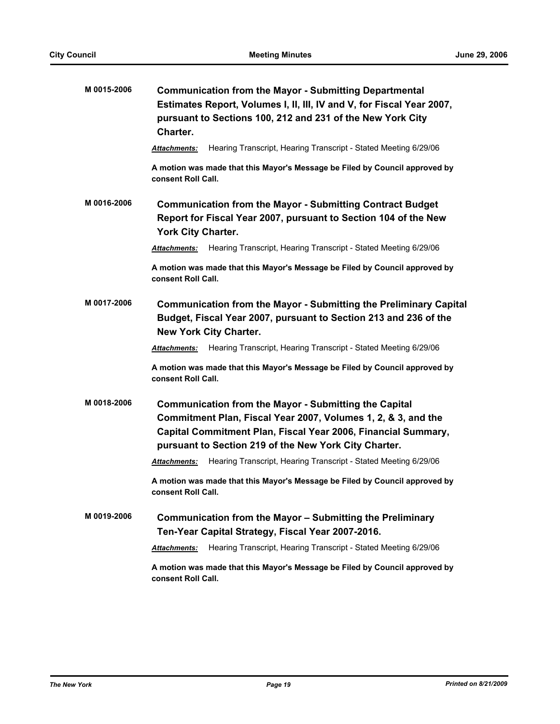| M 0015-2006 | <b>Communication from the Mayor - Submitting Departmental</b><br>Estimates Report, Volumes I, II, III, IV and V, for Fiscal Year 2007,<br>pursuant to Sections 100, 212 and 231 of the New York City<br>Charter.                                        |
|-------------|---------------------------------------------------------------------------------------------------------------------------------------------------------------------------------------------------------------------------------------------------------|
|             | Hearing Transcript, Hearing Transcript - Stated Meeting 6/29/06<br><b>Attachments:</b>                                                                                                                                                                  |
|             | A motion was made that this Mayor's Message be Filed by Council approved by<br>consent Roll Call.                                                                                                                                                       |
| M 0016-2006 | <b>Communication from the Mayor - Submitting Contract Budget</b><br>Report for Fiscal Year 2007, pursuant to Section 104 of the New<br><b>York City Charter.</b>                                                                                        |
|             | Hearing Transcript, Hearing Transcript - Stated Meeting 6/29/06<br>Attachments:                                                                                                                                                                         |
|             | A motion was made that this Mayor's Message be Filed by Council approved by<br>consent Roll Call.                                                                                                                                                       |
| M 0017-2006 | <b>Communication from the Mayor - Submitting the Preliminary Capital</b><br>Budget, Fiscal Year 2007, pursuant to Section 213 and 236 of the<br><b>New York City Charter.</b>                                                                           |
|             | Hearing Transcript, Hearing Transcript - Stated Meeting 6/29/06<br><b>Attachments:</b>                                                                                                                                                                  |
|             | A motion was made that this Mayor's Message be Filed by Council approved by<br>consent Roll Call.                                                                                                                                                       |
| M 0018-2006 | <b>Communication from the Mayor - Submitting the Capital</b><br>Commitment Plan, Fiscal Year 2007, Volumes 1, 2, & 3, and the<br>Capital Commitment Plan, Fiscal Year 2006, Financial Summary,<br>pursuant to Section 219 of the New York City Charter. |
|             | Hearing Transcript, Hearing Transcript - Stated Meeting 6/29/06<br><b>Attachments:</b>                                                                                                                                                                  |
|             | A motion was made that this Mayor's Message be Filed by Council approved by<br>consent Roll Call.                                                                                                                                                       |
| M 0019-2006 | Communication from the Mayor - Submitting the Preliminary<br>Ten-Year Capital Strategy, Fiscal Year 2007-2016.                                                                                                                                          |
|             | Hearing Transcript, Hearing Transcript - Stated Meeting 6/29/06<br><b>Attachments:</b>                                                                                                                                                                  |
|             | A motion was made that this Mayor's Message be Filed by Council approved by<br>consent Roll Call.                                                                                                                                                       |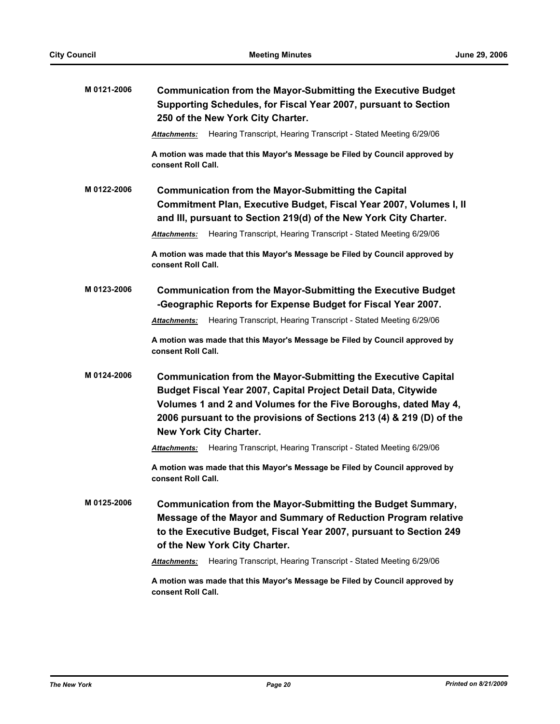| M 0121-2006 | <b>Communication from the Mayor-Submitting the Executive Budget</b><br>Supporting Schedules, for Fiscal Year 2007, pursuant to Section<br>250 of the New York City Charter.                                                                                                                                        |  |
|-------------|--------------------------------------------------------------------------------------------------------------------------------------------------------------------------------------------------------------------------------------------------------------------------------------------------------------------|--|
|             | Hearing Transcript, Hearing Transcript - Stated Meeting 6/29/06<br>Attachments:                                                                                                                                                                                                                                    |  |
|             | A motion was made that this Mayor's Message be Filed by Council approved by<br>consent Roll Call.                                                                                                                                                                                                                  |  |
| M 0122-2006 | <b>Communication from the Mayor-Submitting the Capital</b><br>Commitment Plan, Executive Budget, Fiscal Year 2007, Volumes I, II<br>and III, pursuant to Section 219(d) of the New York City Charter.                                                                                                              |  |
|             | Hearing Transcript, Hearing Transcript - Stated Meeting 6/29/06<br><b>Attachments:</b>                                                                                                                                                                                                                             |  |
|             | A motion was made that this Mayor's Message be Filed by Council approved by<br>consent Roll Call.                                                                                                                                                                                                                  |  |
| M 0123-2006 | <b>Communication from the Mayor-Submitting the Executive Budget</b><br>-Geographic Reports for Expense Budget for Fiscal Year 2007.                                                                                                                                                                                |  |
|             | Hearing Transcript, Hearing Transcript - Stated Meeting 6/29/06<br>Attachments:                                                                                                                                                                                                                                    |  |
|             | A motion was made that this Mayor's Message be Filed by Council approved by<br>consent Roll Call.                                                                                                                                                                                                                  |  |
| M 0124-2006 | <b>Communication from the Mayor-Submitting the Executive Capital</b><br>Budget Fiscal Year 2007, Capital Project Detail Data, Citywide<br>Volumes 1 and 2 and Volumes for the Five Boroughs, dated May 4,<br>2006 pursuant to the provisions of Sections 213 (4) & 219 (D) of the<br><b>New York City Charter.</b> |  |
|             | Hearing Transcript, Hearing Transcript - Stated Meeting 6/29/06<br><b>Attachments:</b>                                                                                                                                                                                                                             |  |
|             | A motion was made that this Mayor's Message be Filed by Council approved by<br>consent Roll Call.                                                                                                                                                                                                                  |  |
| M 0125-2006 | Communication from the Mayor-Submitting the Budget Summary,<br>Message of the Mayor and Summary of Reduction Program relative<br>to the Executive Budget, Fiscal Year 2007, pursuant to Section 249<br>of the New York City Charter.                                                                               |  |
|             | Hearing Transcript, Hearing Transcript - Stated Meeting 6/29/06<br>Attachments:                                                                                                                                                                                                                                    |  |
|             | A motion was made that this Mayor's Message be Filed by Council approved by<br>consent Roll Call.                                                                                                                                                                                                                  |  |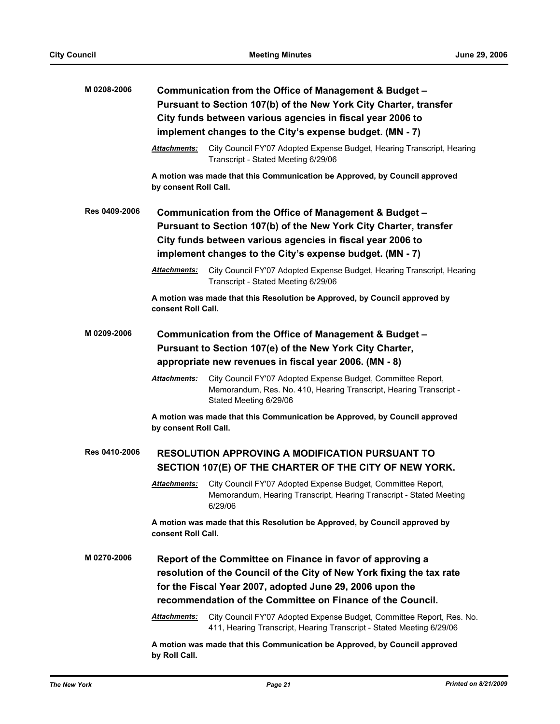| M 0208-2006   | Communication from the Office of Management & Budget -                                                                                                                                          |                                                                                                                                                              |  |
|---------------|-------------------------------------------------------------------------------------------------------------------------------------------------------------------------------------------------|--------------------------------------------------------------------------------------------------------------------------------------------------------------|--|
|               | Pursuant to Section 107(b) of the New York City Charter, transfer<br>City funds between various agencies in fiscal year 2006 to                                                                 |                                                                                                                                                              |  |
|               | implement changes to the City's expense budget. (MN - 7)                                                                                                                                        |                                                                                                                                                              |  |
|               |                                                                                                                                                                                                 |                                                                                                                                                              |  |
|               | Attachments:                                                                                                                                                                                    | City Council FY'07 Adopted Expense Budget, Hearing Transcript, Hearing<br>Transcript - Stated Meeting 6/29/06                                                |  |
|               | by consent Roll Call.                                                                                                                                                                           | A motion was made that this Communication be Approved, by Council approved                                                                                   |  |
| Res 0409-2006 | Communication from the Office of Management & Budget -                                                                                                                                          |                                                                                                                                                              |  |
|               | Pursuant to Section 107(b) of the New York City Charter, transfer                                                                                                                               |                                                                                                                                                              |  |
|               |                                                                                                                                                                                                 | City funds between various agencies in fiscal year 2006 to                                                                                                   |  |
|               |                                                                                                                                                                                                 | implement changes to the City's expense budget. (MN - 7)                                                                                                     |  |
|               | Attachments:                                                                                                                                                                                    | City Council FY'07 Adopted Expense Budget, Hearing Transcript, Hearing<br>Transcript - Stated Meeting 6/29/06                                                |  |
|               | consent Roll Call.                                                                                                                                                                              | A motion was made that this Resolution be Approved, by Council approved by                                                                                   |  |
| M 0209-2006   |                                                                                                                                                                                                 | Communication from the Office of Management & Budget -                                                                                                       |  |
|               |                                                                                                                                                                                                 |                                                                                                                                                              |  |
|               | Pursuant to Section 107(e) of the New York City Charter,<br>appropriate new revenues in fiscal year 2006. (MN - 8)                                                                              |                                                                                                                                                              |  |
|               |                                                                                                                                                                                                 |                                                                                                                                                              |  |
|               | Attachments:                                                                                                                                                                                    | City Council FY'07 Adopted Expense Budget, Committee Report,<br>Memorandum, Res. No. 410, Hearing Transcript, Hearing Transcript -<br>Stated Meeting 6/29/06 |  |
|               | by consent Roll Call.                                                                                                                                                                           | A motion was made that this Communication be Approved, by Council approved                                                                                   |  |
| Res 0410-2006 | <b>RESOLUTION APPROVING A MODIFICATION PURSUANT TO</b>                                                                                                                                          |                                                                                                                                                              |  |
|               |                                                                                                                                                                                                 | SECTION 107(E) OF THE CHARTER OF THE CITY OF NEW YORK.                                                                                                       |  |
|               | <u> Attachments:</u>                                                                                                                                                                            | City Council FY'07 Adopted Expense Budget, Committee Report,<br>Memorandum, Hearing Transcript, Hearing Transcript - Stated Meeting<br>6/29/06               |  |
|               | consent Roll Call.                                                                                                                                                                              | A motion was made that this Resolution be Approved, by Council approved by                                                                                   |  |
| M 0270-2006   | Report of the Committee on Finance in favor of approving a<br>resolution of the Council of the City of New York fixing the tax rate<br>for the Fiscal Year 2007, adopted June 29, 2006 upon the |                                                                                                                                                              |  |
|               |                                                                                                                                                                                                 | recommendation of the Committee on Finance of the Council.                                                                                                   |  |
|               | Attachments:                                                                                                                                                                                    | City Council FY'07 Adopted Expense Budget, Committee Report, Res. No.<br>411, Hearing Transcript, Hearing Transcript - Stated Meeting 6/29/06                |  |
|               | by Roll Call.                                                                                                                                                                                   | A motion was made that this Communication be Approved, by Council approved                                                                                   |  |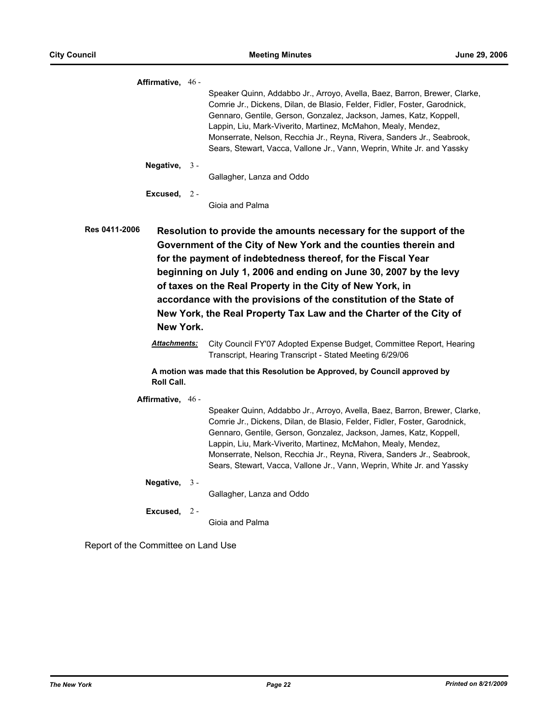| Affirmative, $46 -$               |       |                                                                                                                                                                                                                                                                                                                                                                                                                                                                                     |
|-----------------------------------|-------|-------------------------------------------------------------------------------------------------------------------------------------------------------------------------------------------------------------------------------------------------------------------------------------------------------------------------------------------------------------------------------------------------------------------------------------------------------------------------------------|
|                                   |       | Speaker Quinn, Addabbo Jr., Arroyo, Avella, Baez, Barron, Brewer, Clarke,<br>Comrie Jr., Dickens, Dilan, de Blasio, Felder, Fidler, Foster, Garodnick,<br>Gennaro, Gentile, Gerson, Gonzalez, Jackson, James, Katz, Koppell,<br>Lappin, Liu, Mark-Viverito, Martinez, McMahon, Mealy, Mendez,<br>Monserrate, Nelson, Recchia Jr., Reyna, Rivera, Sanders Jr., Seabrook,<br>Sears, Stewart, Vacca, Vallone Jr., Vann, Weprin, White Jr. and Yassky                                   |
| Negative,                         | $3 -$ |                                                                                                                                                                                                                                                                                                                                                                                                                                                                                     |
|                                   |       | Gallagher, Lanza and Oddo                                                                                                                                                                                                                                                                                                                                                                                                                                                           |
| Excused, $2 -$                    |       | Gioja and Palma                                                                                                                                                                                                                                                                                                                                                                                                                                                                     |
| <b>Res 0411-2006</b><br>New York. |       | Resolution to provide the amounts necessary for the support of the<br>Government of the City of New York and the counties therein and<br>for the payment of indebtedness thereof, for the Fiscal Year<br>beginning on July 1, 2006 and ending on June 30, 2007 by the levy<br>of taxes on the Real Property in the City of New York, in<br>accordance with the provisions of the constitution of the State of<br>New York, the Real Property Tax Law and the Charter of the City of |
| <b>Attachments:</b>               |       | City Council FY'07 Adopted Expense Budget, Committee Report, Hearing<br>Transcript, Hearing Transcript - Stated Meeting 6/29/06                                                                                                                                                                                                                                                                                                                                                     |
| <b>Roll Call.</b>                 |       | A motion was made that this Resolution be Approved, by Council approved by                                                                                                                                                                                                                                                                                                                                                                                                          |
| Affirmative, 46 -                 |       | Speaker Quinn, Addabbo Jr., Arroyo, Avella, Baez, Barron, Brewer, Clarke,<br>Comrie Jr., Dickens, Dilan, de Blasio, Felder, Fidler, Foster, Garodnick,<br>Gennaro, Gentile, Gerson, Gonzalez, Jackson, James, Katz, Koppell,<br>Lappin, Liu, Mark-Viverito, Martinez, McMahon, Mealy, Mendez,<br>Monserrate, Nelson, Recchia Jr., Reyna, Rivera, Sanders Jr., Seabrook,<br>Sears, Stewart, Vacca, Vallone Jr., Vann, Weprin, White Jr. and Yassky                                   |
| Negative,                         | $3 -$ | Gallagher, Lanza and Oddo                                                                                                                                                                                                                                                                                                                                                                                                                                                           |
| Excused,                          | -2 -  | Gioja and Palma                                                                                                                                                                                                                                                                                                                                                                                                                                                                     |

Report of the Committee on Land Use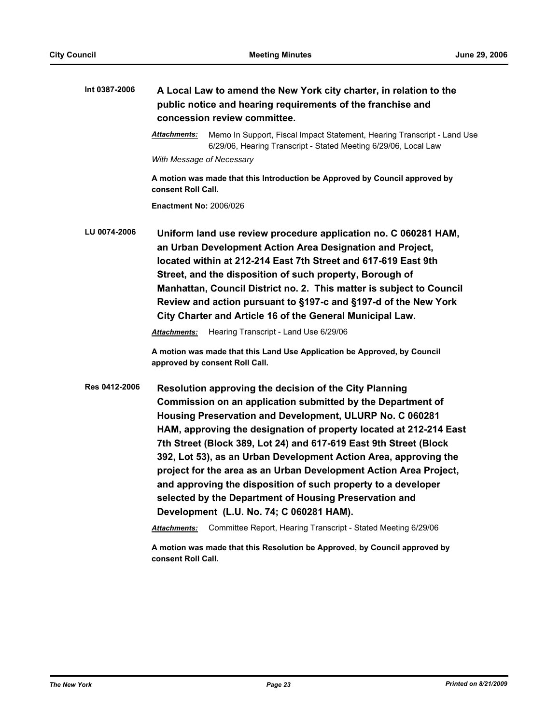| Int 0387-2006 | A Local Law to amend the New York city charter, in relation to the<br>public notice and hearing requirements of the franchise and<br>concession review committee.                                                                                                                                                                                                                                                                                                                                                                                                                                                                            |  |
|---------------|----------------------------------------------------------------------------------------------------------------------------------------------------------------------------------------------------------------------------------------------------------------------------------------------------------------------------------------------------------------------------------------------------------------------------------------------------------------------------------------------------------------------------------------------------------------------------------------------------------------------------------------------|--|
|               | Memo In Support, Fiscal Impact Statement, Hearing Transcript - Land Use<br><b>Attachments:</b><br>6/29/06, Hearing Transcript - Stated Meeting 6/29/06, Local Law                                                                                                                                                                                                                                                                                                                                                                                                                                                                            |  |
|               | With Message of Necessary                                                                                                                                                                                                                                                                                                                                                                                                                                                                                                                                                                                                                    |  |
|               | A motion was made that this Introduction be Approved by Council approved by<br>consent Roll Call.                                                                                                                                                                                                                                                                                                                                                                                                                                                                                                                                            |  |
|               | <b>Enactment No: 2006/026</b>                                                                                                                                                                                                                                                                                                                                                                                                                                                                                                                                                                                                                |  |
| LU 0074-2006  | Uniform land use review procedure application no. C 060281 HAM,<br>an Urban Development Action Area Designation and Project,<br>located within at 212-214 East 7th Street and 617-619 East 9th<br>Street, and the disposition of such property, Borough of<br>Manhattan, Council District no. 2. This matter is subject to Council<br>Review and action pursuant to §197-c and §197-d of the New York<br>City Charter and Article 16 of the General Municipal Law.<br>Hearing Transcript - Land Use 6/29/06<br><b>Attachments:</b>                                                                                                           |  |
|               | A motion was made that this Land Use Application be Approved, by Council<br>approved by consent Roll Call.                                                                                                                                                                                                                                                                                                                                                                                                                                                                                                                                   |  |
| Res 0412-2006 | Resolution approving the decision of the City Planning<br>Commission on an application submitted by the Department of<br>Housing Preservation and Development, ULURP No. C 060281<br>HAM, approving the designation of property located at 212-214 East<br>7th Street (Block 389, Lot 24) and 617-619 East 9th Street (Block<br>392, Lot 53), as an Urban Development Action Area, approving the<br>project for the area as an Urban Development Action Area Project,<br>and approving the disposition of such property to a developer<br>selected by the Department of Housing Preservation and<br>Development (L.U. No. 74; C 060281 HAM). |  |
|               | Committee Report, Hearing Transcript - Stated Meeting 6/29/06<br>Attachments:                                                                                                                                                                                                                                                                                                                                                                                                                                                                                                                                                                |  |
|               | A motion was made that this Resolution be Approved, by Council approved by<br>consent Roll Call.                                                                                                                                                                                                                                                                                                                                                                                                                                                                                                                                             |  |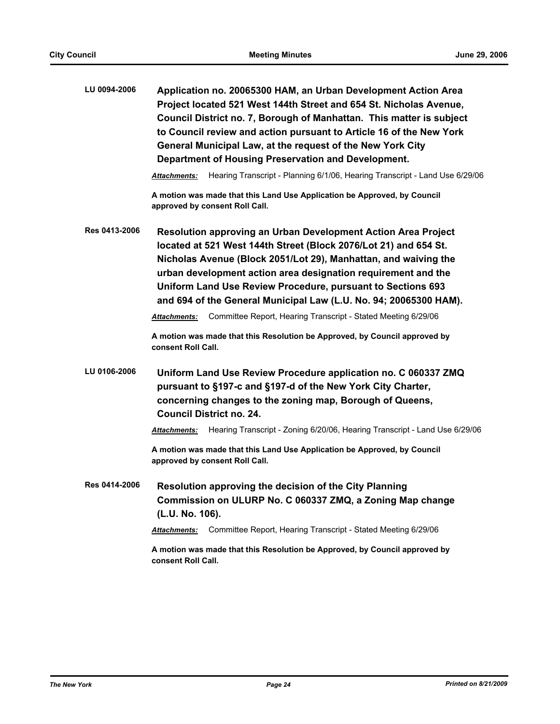| LU 0094-2006  | Application no. 20065300 HAM, an Urban Development Action Area<br>Project located 521 West 144th Street and 654 St. Nicholas Avenue,<br>Council District no. 7, Borough of Manhattan. This matter is subject<br>to Council review and action pursuant to Article 16 of the New York<br>General Municipal Law, at the request of the New York City<br>Department of Housing Preservation and Development.  |
|---------------|-----------------------------------------------------------------------------------------------------------------------------------------------------------------------------------------------------------------------------------------------------------------------------------------------------------------------------------------------------------------------------------------------------------|
|               | Hearing Transcript - Planning 6/1/06, Hearing Transcript - Land Use 6/29/06<br>Attachments:                                                                                                                                                                                                                                                                                                               |
|               | A motion was made that this Land Use Application be Approved, by Council<br>approved by consent Roll Call.                                                                                                                                                                                                                                                                                                |
| Res 0413-2006 | Resolution approving an Urban Development Action Area Project<br>located at 521 West 144th Street (Block 2076/Lot 21) and 654 St.<br>Nicholas Avenue (Block 2051/Lot 29), Manhattan, and waiving the<br>urban development action area designation requirement and the<br>Uniform Land Use Review Procedure, pursuant to Sections 693<br>and 694 of the General Municipal Law (L.U. No. 94; 20065300 HAM). |
|               | Committee Report, Hearing Transcript - Stated Meeting 6/29/06<br>Attachments:                                                                                                                                                                                                                                                                                                                             |
|               | A motion was made that this Resolution be Approved, by Council approved by<br>consent Roll Call.                                                                                                                                                                                                                                                                                                          |
| LU 0106-2006  | Uniform Land Use Review Procedure application no. C 060337 ZMQ<br>pursuant to §197-c and §197-d of the New York City Charter,<br>concerning changes to the zoning map, Borough of Queens,<br><b>Council District no. 24.</b>                                                                                                                                                                              |
|               | Hearing Transcript - Zoning 6/20/06, Hearing Transcript - Land Use 6/29/06<br>Attachments:                                                                                                                                                                                                                                                                                                                |
|               | A motion was made that this Land Use Application be Approved, by Council<br>approved by consent Roll Call.                                                                                                                                                                                                                                                                                                |
| Res 0414-2006 | Resolution approving the decision of the City Planning<br>Commission on ULURP No. C 060337 ZMQ, a Zoning Map change<br>(L.U. No. 106).                                                                                                                                                                                                                                                                    |
|               | Committee Report, Hearing Transcript - Stated Meeting 6/29/06<br>Attachments:                                                                                                                                                                                                                                                                                                                             |
|               | A motion was made that this Resolution be Approved, by Council approved by<br>consent Roll Call.                                                                                                                                                                                                                                                                                                          |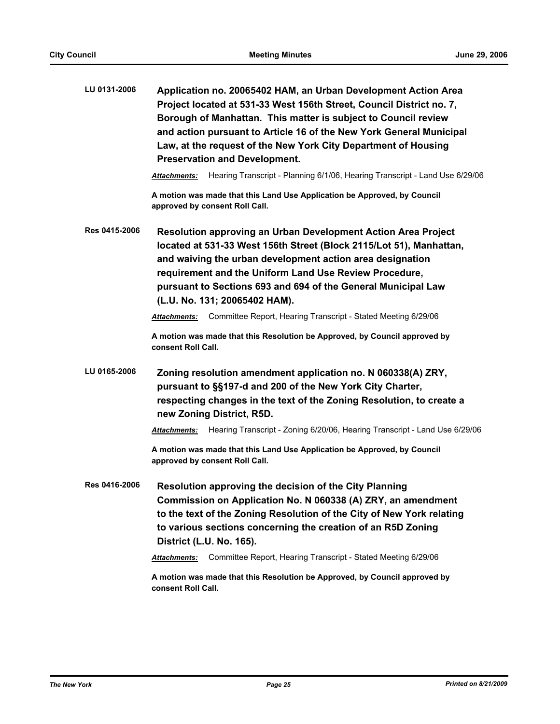| LU 0131-2006  | Application no. 20065402 HAM, an Urban Development Action Area<br>Project located at 531-33 West 156th Street, Council District no. 7,<br>Borough of Manhattan. This matter is subject to Council review<br>and action pursuant to Article 16 of the New York General Municipal<br>Law, at the request of the New York City Department of Housing<br><b>Preservation and Development.</b><br>Hearing Transcript - Planning 6/1/06, Hearing Transcript - Land Use 6/29/06<br>Attachments: |
|---------------|------------------------------------------------------------------------------------------------------------------------------------------------------------------------------------------------------------------------------------------------------------------------------------------------------------------------------------------------------------------------------------------------------------------------------------------------------------------------------------------|
|               | A motion was made that this Land Use Application be Approved, by Council<br>approved by consent Roll Call.                                                                                                                                                                                                                                                                                                                                                                               |
| Res 0415-2006 | Resolution approving an Urban Development Action Area Project<br>located at 531-33 West 156th Street (Block 2115/Lot 51), Manhattan,<br>and waiving the urban development action area designation<br>requirement and the Uniform Land Use Review Procedure,<br>pursuant to Sections 693 and 694 of the General Municipal Law<br>(L.U. No. 131; 20065402 HAM).                                                                                                                            |
|               | Committee Report, Hearing Transcript - Stated Meeting 6/29/06<br>Attachments:                                                                                                                                                                                                                                                                                                                                                                                                            |
|               | A motion was made that this Resolution be Approved, by Council approved by<br>consent Roll Call.                                                                                                                                                                                                                                                                                                                                                                                         |
| LU 0165-2006  | Zoning resolution amendment application no. N 060338(A) ZRY,<br>pursuant to §§197-d and 200 of the New York City Charter,<br>respecting changes in the text of the Zoning Resolution, to create a<br>new Zoning District, R5D.<br>Hearing Transcript - Zoning 6/20/06, Hearing Transcript - Land Use 6/29/06<br>Attachments:                                                                                                                                                             |
|               | A motion was made that this Land Use Application be Approved, by Council<br>approved by consent Roll Call.                                                                                                                                                                                                                                                                                                                                                                               |
| Res 0416-2006 | Resolution approving the decision of the City Planning<br>Commission on Application No. N 060338 (A) ZRY, an amendment<br>to the text of the Zoning Resolution of the City of New York relating<br>to various sections concerning the creation of an R5D Zoning<br>District (L.U. No. 165).<br>Committee Report, Hearing Transcript - Stated Meeting 6/29/06<br><b>Attachments:</b><br>A motion was made that this Resolution be Approved, by Council approved by                        |
|               | consent Roll Call.                                                                                                                                                                                                                                                                                                                                                                                                                                                                       |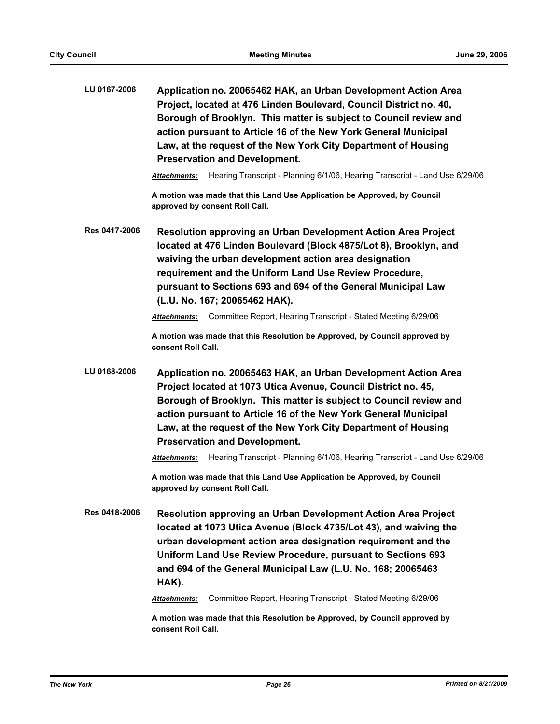| LU 0167-2006         | Application no. 20065462 HAK, an Urban Development Action Area<br>Project, located at 476 Linden Boulevard, Council District no. 40,<br>Borough of Brooklyn. This matter is subject to Council review and<br>action pursuant to Article 16 of the New York General Municipal<br>Law, at the request of the New York City Department of Housing<br><b>Preservation and Development.</b>                                              |
|----------------------|-------------------------------------------------------------------------------------------------------------------------------------------------------------------------------------------------------------------------------------------------------------------------------------------------------------------------------------------------------------------------------------------------------------------------------------|
|                      | Hearing Transcript - Planning 6/1/06, Hearing Transcript - Land Use 6/29/06<br>Attachments:                                                                                                                                                                                                                                                                                                                                         |
|                      | A motion was made that this Land Use Application be Approved, by Council<br>approved by consent Roll Call.                                                                                                                                                                                                                                                                                                                          |
| Res 0417-2006        | <b>Resolution approving an Urban Development Action Area Project</b><br>located at 476 Linden Boulevard (Block 4875/Lot 8), Brooklyn, and<br>waiving the urban development action area designation<br>requirement and the Uniform Land Use Review Procedure,<br>pursuant to Sections 693 and 694 of the General Municipal Law<br>(L.U. No. 167; 20065462 HAK).                                                                      |
|                      | Committee Report, Hearing Transcript - Stated Meeting 6/29/06<br><b>Attachments:</b>                                                                                                                                                                                                                                                                                                                                                |
|                      | A motion was made that this Resolution be Approved, by Council approved by<br>consent Roll Call.                                                                                                                                                                                                                                                                                                                                    |
| LU 0168-2006         | Application no. 20065463 HAK, an Urban Development Action Area<br>Project located at 1073 Utica Avenue, Council District no. 45,<br>Borough of Brooklyn. This matter is subject to Council review and<br>action pursuant to Article 16 of the New York General Municipal<br>Law, at the request of the New York City Department of Housing<br><b>Preservation and Development.</b>                                                  |
|                      | Hearing Transcript - Planning 6/1/06, Hearing Transcript - Land Use 6/29/06<br>Attachments:                                                                                                                                                                                                                                                                                                                                         |
|                      | A motion was made that this Land Use Application be Approved, by Council<br>approved by consent Roll Call.                                                                                                                                                                                                                                                                                                                          |
| <b>Res 0418-2006</b> | <b>Resolution approving an Urban Development Action Area Project</b><br>located at 1073 Utica Avenue (Block 4735/Lot 43), and waiving the<br>urban development action area designation requirement and the<br>Uniform Land Use Review Procedure, pursuant to Sections 693<br>and 694 of the General Municipal Law (L.U. No. 168; 20065463<br>HAK).<br>Committee Report, Hearing Transcript - Stated Meeting 6/29/06<br>Attachments: |
|                      |                                                                                                                                                                                                                                                                                                                                                                                                                                     |

**A motion was made that this Resolution be Approved, by Council approved by consent Roll Call.**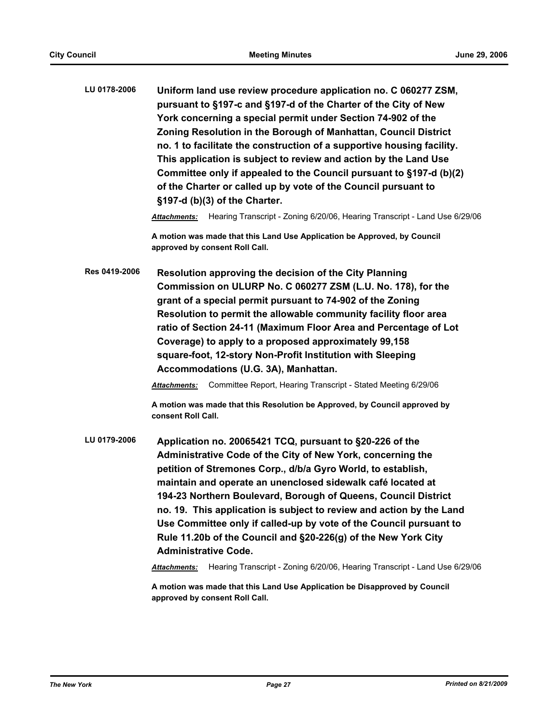**LU 0178-2006 Uniform land use review procedure application no. C 060277 ZSM, pursuant to §197-c and §197-d of the Charter of the City of New York concerning a special permit under Section 74-902 of the Zoning Resolution in the Borough of Manhattan, Council District no. 1 to facilitate the construction of a supportive housing facility. This application is subject to review and action by the Land Use Committee only if appealed to the Council pursuant to §197-d (b)(2) of the Charter or called up by vote of the Council pursuant to §197-d (b)(3) of the Charter.**

*Attachments:* Hearing Transcript - Zoning 6/20/06, Hearing Transcript - Land Use 6/29/06

**A motion was made that this Land Use Application be Approved, by Council approved by consent Roll Call.**

**Res 0419-2006 Resolution approving the decision of the City Planning Commission on ULURP No. C 060277 ZSM (L.U. No. 178), for the grant of a special permit pursuant to 74-902 of the Zoning Resolution to permit the allowable community facility floor area ratio of Section 24-11 (Maximum Floor Area and Percentage of Lot Coverage) to apply to a proposed approximately 99,158 square-foot, 12-story Non-Profit Institution with Sleeping Accommodations (U.G. 3A), Manhattan.**

*Attachments:* Committee Report, Hearing Transcript - Stated Meeting 6/29/06

**A motion was made that this Resolution be Approved, by Council approved by consent Roll Call.**

**LU 0179-2006 Application no. 20065421 TCQ, pursuant to §20-226 of the Administrative Code of the City of New York, concerning the petition of Stremones Corp., d/b/a Gyro World, to establish, maintain and operate an unenclosed sidewalk café located at 194-23 Northern Boulevard, Borough of Queens, Council District no. 19. This application is subject to review and action by the Land Use Committee only if called-up by vote of the Council pursuant to Rule 11.20b of the Council and §20-226(g) of the New York City Administrative Code.**

*Attachments:* Hearing Transcript - Zoning 6/20/06, Hearing Transcript - Land Use 6/29/06

**A motion was made that this Land Use Application be Disapproved by Council approved by consent Roll Call.**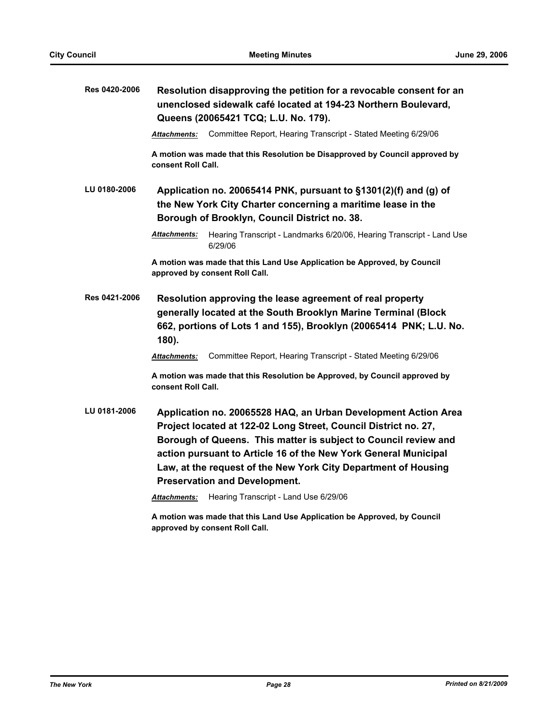| Res 0420-2006 | Resolution disapproving the petition for a revocable consent for an<br>unenclosed sidewalk café located at 194-23 Northern Boulevard,<br>Queens (20065421 TCQ; L.U. No. 179).                                                                                                                                                                                                                                                                     |  |
|---------------|---------------------------------------------------------------------------------------------------------------------------------------------------------------------------------------------------------------------------------------------------------------------------------------------------------------------------------------------------------------------------------------------------------------------------------------------------|--|
|               | Committee Report, Hearing Transcript - Stated Meeting 6/29/06<br><b>Attachments:</b>                                                                                                                                                                                                                                                                                                                                                              |  |
|               | A motion was made that this Resolution be Disapproved by Council approved by<br>consent Roll Call.                                                                                                                                                                                                                                                                                                                                                |  |
| LU 0180-2006  | Application no. 20065414 PNK, pursuant to §1301(2)(f) and (g) of<br>the New York City Charter concerning a maritime lease in the<br>Borough of Brooklyn, Council District no. 38.                                                                                                                                                                                                                                                                 |  |
|               | Hearing Transcript - Landmarks 6/20/06, Hearing Transcript - Land Use<br><b>Attachments:</b><br>6/29/06                                                                                                                                                                                                                                                                                                                                           |  |
|               | A motion was made that this Land Use Application be Approved, by Council<br>approved by consent Roll Call.                                                                                                                                                                                                                                                                                                                                        |  |
| Res 0421-2006 | Resolution approving the lease agreement of real property<br>generally located at the South Brooklyn Marine Terminal (Block<br>662, portions of Lots 1 and 155), Brooklyn (20065414 PNK; L.U. No.<br>$180$ ).                                                                                                                                                                                                                                     |  |
|               | Committee Report, Hearing Transcript - Stated Meeting 6/29/06<br><b>Attachments:</b>                                                                                                                                                                                                                                                                                                                                                              |  |
|               | A motion was made that this Resolution be Approved, by Council approved by<br>consent Roll Call.                                                                                                                                                                                                                                                                                                                                                  |  |
| LU 0181-2006  | Application no. 20065528 HAQ, an Urban Development Action Area<br>Project located at 122-02 Long Street, Council District no. 27,<br>Borough of Queens. This matter is subject to Council review and<br>action pursuant to Article 16 of the New York General Municipal<br>Law, at the request of the New York City Department of Housing<br><b>Preservation and Development.</b><br>Hearing Transcript - Land Use 6/29/06<br><b>Attachments:</b> |  |
|               | A motion was made that this Land Use Application be Approved, by Council                                                                                                                                                                                                                                                                                                                                                                          |  |

**approved by consent Roll Call.**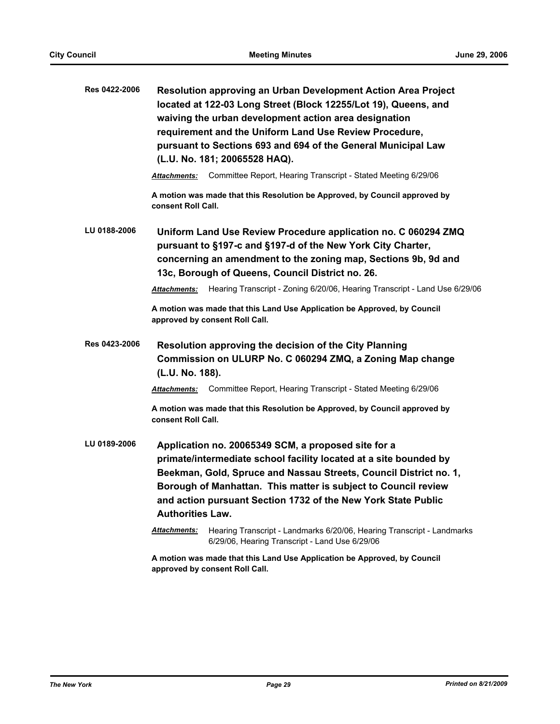| Res 0422-2006 | Resolution approving an Urban Development Action Area Project<br>located at 122-03 Long Street (Block 12255/Lot 19), Queens, and<br>waiving the urban development action area designation<br>requirement and the Uniform Land Use Review Procedure,<br>pursuant to Sections 693 and 694 of the General Municipal Law<br>(L.U. No. 181; 20065528 HAQ).       |  |  |
|---------------|-------------------------------------------------------------------------------------------------------------------------------------------------------------------------------------------------------------------------------------------------------------------------------------------------------------------------------------------------------------|--|--|
|               | Committee Report, Hearing Transcript - Stated Meeting 6/29/06<br>Attachments:                                                                                                                                                                                                                                                                               |  |  |
|               | A motion was made that this Resolution be Approved, by Council approved by<br>consent Roll Call.                                                                                                                                                                                                                                                            |  |  |
| LU 0188-2006  | Uniform Land Use Review Procedure application no. C 060294 ZMQ<br>pursuant to §197-c and §197-d of the New York City Charter,<br>concerning an amendment to the zoning map, Sections 9b, 9d and<br>13c, Borough of Queens, Council District no. 26.                                                                                                         |  |  |
|               | Hearing Transcript - Zoning 6/20/06, Hearing Transcript - Land Use 6/29/06<br><b>Attachments:</b>                                                                                                                                                                                                                                                           |  |  |
|               | A motion was made that this Land Use Application be Approved, by Council<br>approved by consent Roll Call.                                                                                                                                                                                                                                                  |  |  |
| Res 0423-2006 | Resolution approving the decision of the City Planning<br>Commission on ULURP No. C 060294 ZMQ, a Zoning Map change<br>(L.U. No. 188).                                                                                                                                                                                                                      |  |  |
|               | Committee Report, Hearing Transcript - Stated Meeting 6/29/06<br><b>Attachments:</b>                                                                                                                                                                                                                                                                        |  |  |
|               | A motion was made that this Resolution be Approved, by Council approved by<br>consent Roll Call.                                                                                                                                                                                                                                                            |  |  |
| LU 0189-2006  | Application no. 20065349 SCM, a proposed site for a<br>primate/intermediate school facility located at a site bounded by<br>Beekman, Gold, Spruce and Nassau Streets, Council District no. 1,<br>Borough of Manhattan. This matter is subject to Council review<br>and action pursuant Section 1732 of the New York State Public<br><b>Authorities Law.</b> |  |  |
|               | Hearing Transcript - Landmarks 6/20/06, Hearing Transcript - Landmarks<br>Attachments:<br>6/29/06, Hearing Transcript - Land Use 6/29/06                                                                                                                                                                                                                    |  |  |
|               | A motion was made that this Land Use Application be Approved, by Council<br>approved by consent Roll Call.                                                                                                                                                                                                                                                  |  |  |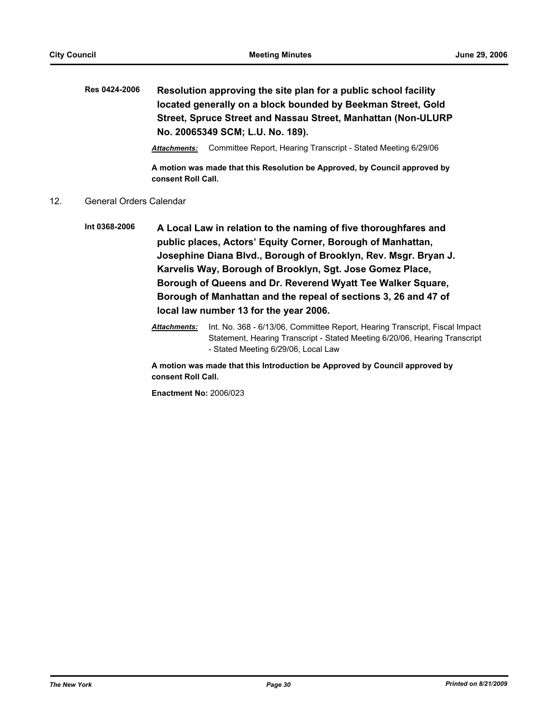# **Res 0424-2006 Resolution approving the site plan for a public school facility located generally on a block bounded by Beekman Street, Gold Street, Spruce Street and Nassau Street, Manhattan (Non-ULURP No. 20065349 SCM; L.U. No. 189).**

*Attachments:* Committee Report, Hearing Transcript - Stated Meeting 6/29/06

**A motion was made that this Resolution be Approved, by Council approved by consent Roll Call.**

### 12. General Orders Calendar

- **Int 0368-2006 A Local Law in relation to the naming of five thoroughfares and public places, Actors' Equity Corner, Borough of Manhattan, Josephine Diana Blvd., Borough of Brooklyn, Rev. Msgr. Bryan J. Karvelis Way, Borough of Brooklyn, Sgt. Jose Gomez Place, Borough of Queens and Dr. Reverend Wyatt Tee Walker Square, Borough of Manhattan and the repeal of sections 3, 26 and 47 of local law number 13 for the year 2006.**
	- *Attachments:* Int. No. 368 6/13/06, Committee Report, Hearing Transcript, Fiscal Impact Statement, Hearing Transcript - Stated Meeting 6/20/06, Hearing Transcript - Stated Meeting 6/29/06, Local Law

**A motion was made that this Introduction be Approved by Council approved by consent Roll Call.**

**Enactment No:** 2006/023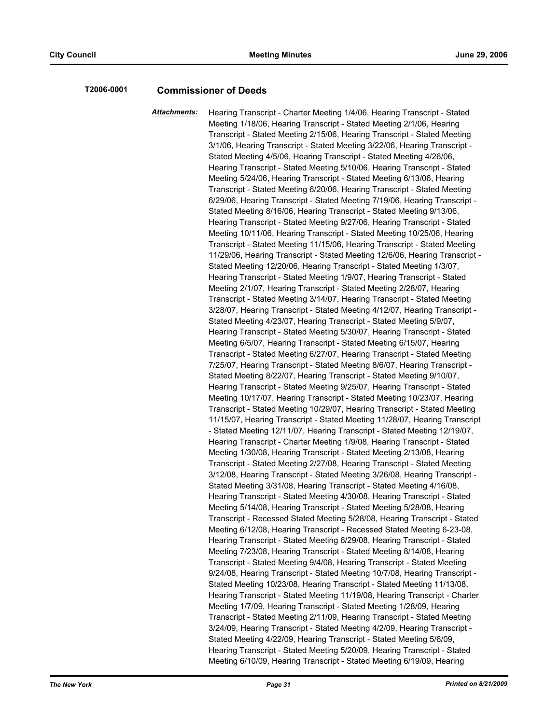### **T2006-0001 Commissioner of Deeds**

*Attachments:* Hearing Transcript - Charter Meeting 1/4/06, Hearing Transcript - Stated Meeting 1/18/06, Hearing Transcript - Stated Meeting 2/1/06, Hearing Transcript - Stated Meeting 2/15/06, Hearing Transcript - Stated Meeting 3/1/06, Hearing Transcript - Stated Meeting 3/22/06, Hearing Transcript - Stated Meeting 4/5/06, Hearing Transcript - Stated Meeting 4/26/06, Hearing Transcript - Stated Meeting 5/10/06, Hearing Transcript - Stated Meeting 5/24/06, Hearing Transcript - Stated Meeting 6/13/06, Hearing Transcript - Stated Meeting 6/20/06, Hearing Transcript - Stated Meeting 6/29/06, Hearing Transcript - Stated Meeting 7/19/06, Hearing Transcript - Stated Meeting 8/16/06, Hearing Transcript - Stated Meeting 9/13/06, Hearing Transcript - Stated Meeting 9/27/06, Hearing Transcript - Stated Meeting 10/11/06, Hearing Transcript - Stated Meeting 10/25/06, Hearing Transcript - Stated Meeting 11/15/06, Hearing Transcript - Stated Meeting 11/29/06, Hearing Transcript - Stated Meeting 12/6/06, Hearing Transcript - Stated Meeting 12/20/06, Hearing Transcript - Stated Meeting 1/3/07, Hearing Transcript - Stated Meeting 1/9/07, Hearing Transcript - Stated Meeting 2/1/07, Hearing Transcript - Stated Meeting 2/28/07, Hearing Transcript - Stated Meeting 3/14/07, Hearing Transcript - Stated Meeting 3/28/07, Hearing Transcript - Stated Meeting 4/12/07, Hearing Transcript - Stated Meeting 4/23/07, Hearing Transcript - Stated Meeting 5/9/07, Hearing Transcript - Stated Meeting 5/30/07, Hearing Transcript - Stated Meeting 6/5/07, Hearing Transcript - Stated Meeting 6/15/07, Hearing Transcript - Stated Meeting 6/27/07, Hearing Transcript - Stated Meeting 7/25/07, Hearing Transcript - Stated Meeting 8/6/07, Hearing Transcript - Stated Meeting 8/22/07, Hearing Transcript - Stated Meeting 9/10/07, Hearing Transcript - Stated Meeting 9/25/07, Hearing Transcript - Stated Meeting 10/17/07, Hearing Transcript - Stated Meeting 10/23/07, Hearing Transcript - Stated Meeting 10/29/07, Hearing Transcript - Stated Meeting 11/15/07, Hearing Transcript - Stated Meeting 11/28/07, Hearing Transcript - Stated Meeting 12/11/07, Hearing Transcript - Stated Meeting 12/19/07, Hearing Transcript - Charter Meeting 1/9/08, Hearing Transcript - Stated Meeting 1/30/08, Hearing Transcript - Stated Meeting 2/13/08, Hearing Transcript - Stated Meeting 2/27/08, Hearing Transcript - Stated Meeting 3/12/08, Hearing Transcript - Stated Meeting 3/26/08, Hearing Transcript - Stated Meeting 3/31/08, Hearing Transcript - Stated Meeting 4/16/08, Hearing Transcript - Stated Meeting 4/30/08, Hearing Transcript - Stated Meeting 5/14/08, Hearing Transcript - Stated Meeting 5/28/08, Hearing Transcript - Recessed Stated Meeting 5/28/08, Hearing Transcript - Stated Meeting 6/12/08, Hearing Transcript - Recessed Stated Meeting 6-23-08, Hearing Transcript - Stated Meeting 6/29/08, Hearing Transcript - Stated Meeting 7/23/08, Hearing Transcript - Stated Meeting 8/14/08, Hearing Transcript - Stated Meeting 9/4/08, Hearing Transcript - Stated Meeting 9/24/08, Hearing Transcript - Stated Meeting 10/7/08, Hearing Transcript - Stated Meeting 10/23/08, Hearing Transcript - Stated Meeting 11/13/08, Hearing Transcript - Stated Meeting 11/19/08, Hearing Transcript - Charter Meeting 1/7/09, Hearing Transcript - Stated Meeting 1/28/09, Hearing Transcript - Stated Meeting 2/11/09, Hearing Transcript - Stated Meeting 3/24/09, Hearing Transcript - Stated Meeting 4/2/09, Hearing Transcript - Stated Meeting 4/22/09, Hearing Transcript - Stated Meeting 5/6/09, Hearing Transcript - Stated Meeting 5/20/09, Hearing Transcript - Stated Meeting 6/10/09, Hearing Transcript - Stated Meeting 6/19/09, Hearing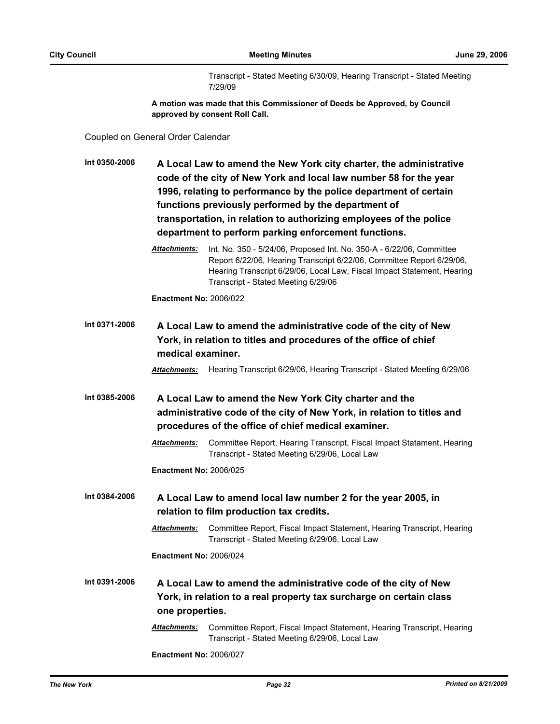Transcript - Stated Meeting 6/30/09, Hearing Transcript - Stated Meeting 7/29/09

**A motion was made that this Commissioner of Deeds be Approved, by Council approved by consent Roll Call.**

Coupled on General Order Calendar

| Int 0350-2006 | A Local Law to amend the New York city charter, the administrative<br>code of the city of New York and local law number 58 for the year<br>1996, relating to performance by the police department of certain<br>functions previously performed by the department of<br>transportation, in relation to authorizing employees of the police<br>department to perform parking enforcement functions. |                                                                                                                                                                                                                                                                 |
|---------------|---------------------------------------------------------------------------------------------------------------------------------------------------------------------------------------------------------------------------------------------------------------------------------------------------------------------------------------------------------------------------------------------------|-----------------------------------------------------------------------------------------------------------------------------------------------------------------------------------------------------------------------------------------------------------------|
|               | Attachments:                                                                                                                                                                                                                                                                                                                                                                                      | Int. No. 350 - 5/24/06, Proposed Int. No. 350-A - 6/22/06, Committee<br>Report 6/22/06, Hearing Transcript 6/22/06, Committee Report 6/29/06,<br>Hearing Transcript 6/29/06, Local Law, Fiscal Impact Statement, Hearing<br>Transcript - Stated Meeting 6/29/06 |
|               | <b>Enactment No: 2006/022</b>                                                                                                                                                                                                                                                                                                                                                                     |                                                                                                                                                                                                                                                                 |
| Int 0371-2006 | medical examiner.                                                                                                                                                                                                                                                                                                                                                                                 | A Local Law to amend the administrative code of the city of New<br>York, in relation to titles and procedures of the office of chief                                                                                                                            |
|               | Attachments:                                                                                                                                                                                                                                                                                                                                                                                      | Hearing Transcript 6/29/06, Hearing Transcript - Stated Meeting 6/29/06                                                                                                                                                                                         |
| Int 0385-2006 | A Local Law to amend the New York City charter and the<br>administrative code of the city of New York, in relation to titles and<br>procedures of the office of chief medical examiner.                                                                                                                                                                                                           |                                                                                                                                                                                                                                                                 |
|               | Attachments:                                                                                                                                                                                                                                                                                                                                                                                      | Committee Report, Hearing Transcript, Fiscal Impact Statament, Hearing<br>Transcript - Stated Meeting 6/29/06, Local Law                                                                                                                                        |
|               | <b>Enactment No: 2006/025</b>                                                                                                                                                                                                                                                                                                                                                                     |                                                                                                                                                                                                                                                                 |
| Int 0384-2006 |                                                                                                                                                                                                                                                                                                                                                                                                   | A Local Law to amend local law number 2 for the year 2005, in<br>relation to film production tax credits.                                                                                                                                                       |
|               | <u> Attachments:</u>                                                                                                                                                                                                                                                                                                                                                                              | Committee Report, Fiscal Impact Statement, Hearing Transcript, Hearing<br>Transcript - Stated Meeting 6/29/06, Local Law                                                                                                                                        |
|               | <b>Enactment No: 2006/024</b>                                                                                                                                                                                                                                                                                                                                                                     |                                                                                                                                                                                                                                                                 |
| Int 0391-2006 | one properties.                                                                                                                                                                                                                                                                                                                                                                                   | A Local Law to amend the administrative code of the city of New<br>York, in relation to a real property tax surcharge on certain class                                                                                                                          |
|               | Attachments:                                                                                                                                                                                                                                                                                                                                                                                      | Committee Report, Fiscal Impact Statement, Hearing Transcript, Hearing<br>Transcript - Stated Meeting 6/29/06, Local Law                                                                                                                                        |
|               | <b>Enactment No: 2006/027</b>                                                                                                                                                                                                                                                                                                                                                                     |                                                                                                                                                                                                                                                                 |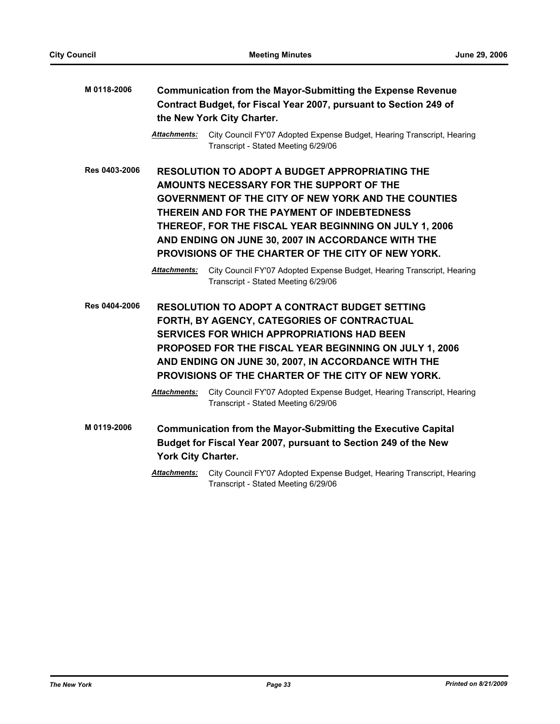| M 0118-2006   | <b>Communication from the Mayor-Submitting the Expense Revenue</b><br>Contract Budget, for Fiscal Year 2007, pursuant to Section 249 of<br>the New York City Charter. |                                                                                                                                                                                                                                                                                                                                                                                      |  |
|---------------|-----------------------------------------------------------------------------------------------------------------------------------------------------------------------|--------------------------------------------------------------------------------------------------------------------------------------------------------------------------------------------------------------------------------------------------------------------------------------------------------------------------------------------------------------------------------------|--|
|               | Attachments:                                                                                                                                                          | City Council FY'07 Adopted Expense Budget, Hearing Transcript, Hearing<br>Transcript - Stated Meeting 6/29/06                                                                                                                                                                                                                                                                        |  |
| Res 0403-2006 |                                                                                                                                                                       | <b>RESOLUTION TO ADOPT A BUDGET APPROPRIATING THE</b><br>AMOUNTS NECESSARY FOR THE SUPPORT OF THE<br><b>GOVERNMENT OF THE CITY OF NEW YORK AND THE COUNTIES</b><br>THEREIN AND FOR THE PAYMENT OF INDEBTEDNESS<br>THEREOF, FOR THE FISCAL YEAR BEGINNING ON JULY 1, 2006<br>AND ENDING ON JUNE 30, 2007 IN ACCORDANCE WITH THE<br>PROVISIONS OF THE CHARTER OF THE CITY OF NEW YORK. |  |
|               | Attachments:                                                                                                                                                          | City Council FY'07 Adopted Expense Budget, Hearing Transcript, Hearing<br>Transcript - Stated Meeting 6/29/06                                                                                                                                                                                                                                                                        |  |
| Res 0404-2006 |                                                                                                                                                                       | <b>RESOLUTION TO ADOPT A CONTRACT BUDGET SETTING</b><br>FORTH, BY AGENCY, CATEGORIES OF CONTRACTUAL<br><b>SERVICES FOR WHICH APPROPRIATIONS HAD BEEN</b><br>PROPOSED FOR THE FISCAL YEAR BEGINNING ON JULY 1, 2006<br>AND ENDING ON JUNE 30, 2007, IN ACCORDANCE WITH THE<br>PROVISIONS OF THE CHARTER OF THE CITY OF NEW YORK.                                                      |  |
|               | Attachments:                                                                                                                                                          | City Council FY'07 Adopted Expense Budget, Hearing Transcript, Hearing<br>Transcript - Stated Meeting 6/29/06                                                                                                                                                                                                                                                                        |  |
| M 0119-2006   | York City Charter.                                                                                                                                                    | <b>Communication from the Mayor-Submitting the Executive Capital</b><br>Budget for Fiscal Year 2007, pursuant to Section 249 of the New                                                                                                                                                                                                                                              |  |
|               | Attachments:                                                                                                                                                          | City Council FY'07 Adopted Expense Budget, Hearing Transcript, Hearing<br>Transcript - Stated Meeting 6/29/06                                                                                                                                                                                                                                                                        |  |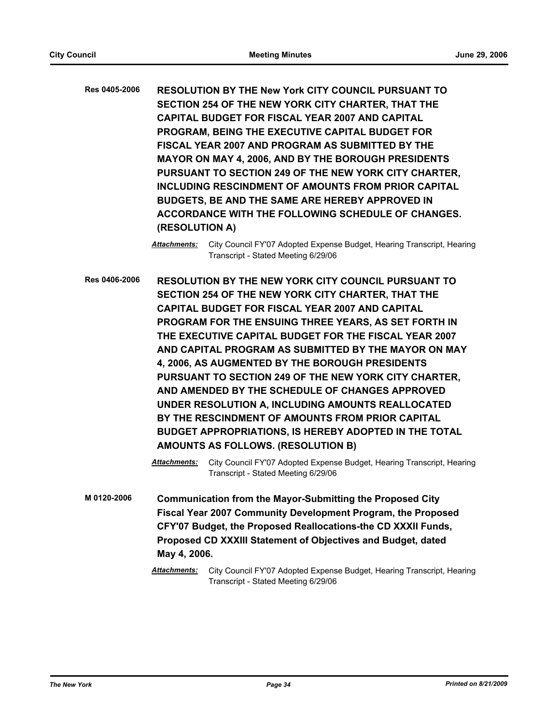**Res 0405-2006 RESOLUTION BY THE New York CITY COUNCIL PURSUANT TO SECTION 254 OF THE NEW YORK CITY CHARTER, THAT THE CAPITAL BUDGET FOR FISCAL YEAR 2007 AND CAPITAL PROGRAM, BEING THE EXECUTIVE CAPITAL BUDGET FOR FISCAL YEAR 2007 AND PROGRAM AS SUBMITTED BY THE MAYOR ON MAY 4, 2006, AND BY THE BOROUGH PRESIDENTS PURSUANT TO SECTION 249 OF THE NEW YORK CITY CHARTER, INCLUDING RESCINDMENT OF AMOUNTS FROM PRIOR CAPITAL BUDGETS, BE AND THE SAME ARE HEREBY APPROVED IN ACCORDANCE WITH THE FOLLOWING SCHEDULE OF CHANGES. (RESOLUTION A)**

**Res 0406-2006 RESOLUTION BY THE NEW YORK CITY COUNCIL PURSUANT TO SECTION 254 OF THE NEW YORK CITY CHARTER, THAT THE CAPITAL BUDGET FOR FISCAL YEAR 2007 AND CAPITAL PROGRAM FOR THE ENSUING THREE YEARS, AS SET FORTH IN THE EXECUTIVE CAPITAL BUDGET FOR THE FISCAL YEAR 2007 AND CAPITAL PROGRAM AS SUBMITTED BY THE MAYOR ON MAY 4, 2006, AS AUGMENTED BY THE BOROUGH PRESIDENTS PURSUANT TO SECTION 249 OF THE NEW YORK CITY CHARTER, AND AMENDED BY THE SCHEDULE OF CHANGES APPROVED UNDER RESOLUTION A, INCLUDING AMOUNTS REALLOCATED BY THE RESCINDMENT OF AMOUNTS FROM PRIOR CAPITAL BUDGET APPROPRIATIONS, IS HEREBY ADOPTED IN THE TOTAL AMOUNTS AS FOLLOWS. (RESOLUTION B)**

> *Attachments:* City Council FY'07 Adopted Expense Budget, Hearing Transcript, Hearing Transcript - Stated Meeting 6/29/06

**M 0120-2006 Communication from the Mayor-Submitting the Proposed City Fiscal Year 2007 Community Development Program, the Proposed CFY'07 Budget, the Proposed Reallocations-the CD XXXII Funds, Proposed CD XXXIII Statement of Objectives and Budget, dated May 4, 2006.**

*Attachments:* City Council FY'07 Adopted Expense Budget, Hearing Transcript, Hearing Transcript - Stated Meeting 6/29/06

*Attachments:* City Council FY'07 Adopted Expense Budget, Hearing Transcript, Hearing Transcript - Stated Meeting 6/29/06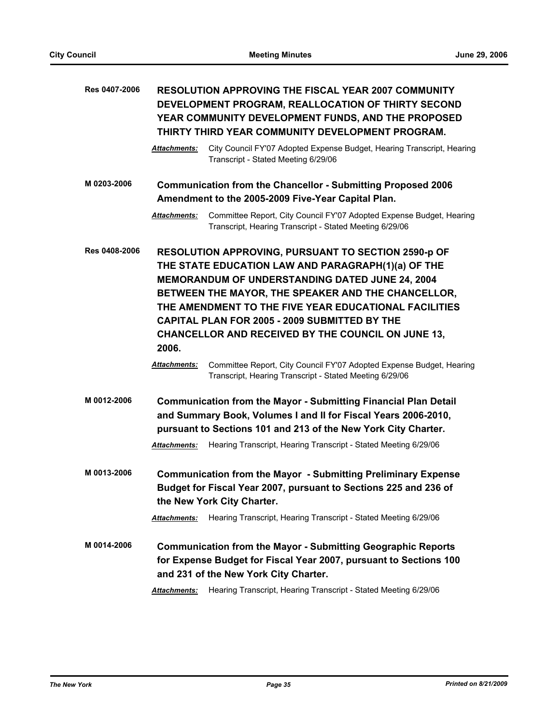| Res 0407-2006 | <b>RESOLUTION APPROVING THE FISCAL YEAR 2007 COMMUNITY</b><br>DEVELOPMENT PROGRAM, REALLOCATION OF THIRTY SECOND<br>YEAR COMMUNITY DEVELOPMENT FUNDS, AND THE PROPOSED<br>THIRTY THIRD YEAR COMMUNITY DEVELOPMENT PROGRAM. |                                                                                                                                                                                                                                                                                                                                                                                                                                                                   |  |
|---------------|----------------------------------------------------------------------------------------------------------------------------------------------------------------------------------------------------------------------------|-------------------------------------------------------------------------------------------------------------------------------------------------------------------------------------------------------------------------------------------------------------------------------------------------------------------------------------------------------------------------------------------------------------------------------------------------------------------|--|
|               | <b>Attachments:</b>                                                                                                                                                                                                        | City Council FY'07 Adopted Expense Budget, Hearing Transcript, Hearing<br>Transcript - Stated Meeting 6/29/06                                                                                                                                                                                                                                                                                                                                                     |  |
| M 0203-2006   |                                                                                                                                                                                                                            | <b>Communication from the Chancellor - Submitting Proposed 2006</b><br>Amendment to the 2005-2009 Five-Year Capital Plan.                                                                                                                                                                                                                                                                                                                                         |  |
|               | <b>Attachments:</b>                                                                                                                                                                                                        | Committee Report, City Council FY'07 Adopted Expense Budget, Hearing<br>Transcript, Hearing Transcript - Stated Meeting 6/29/06                                                                                                                                                                                                                                                                                                                                   |  |
| Res 0408-2006 | 2006.<br><b>Attachments:</b>                                                                                                                                                                                               | RESOLUTION APPROVING, PURSUANT TO SECTION 2590-p OF<br>THE STATE EDUCATION LAW AND PARAGRAPH(1)(a) OF THE<br><b>MEMORANDUM OF UNDERSTANDING DATED JUNE 24, 2004</b><br>BETWEEN THE MAYOR, THE SPEAKER AND THE CHANCELLOR,<br>THE AMENDMENT TO THE FIVE YEAR EDUCATIONAL FACILITIES<br>CAPITAL PLAN FOR 2005 - 2009 SUBMITTED BY THE<br>CHANCELLOR AND RECEIVED BY THE COUNCIL ON JUNE 13,<br>Committee Report, City Council FY'07 Adopted Expense Budget, Hearing |  |
|               |                                                                                                                                                                                                                            | Transcript, Hearing Transcript - Stated Meeting 6/29/06                                                                                                                                                                                                                                                                                                                                                                                                           |  |
| M 0012-2006   | Attachments:                                                                                                                                                                                                               | <b>Communication from the Mayor - Submitting Financial Plan Detail</b><br>and Summary Book, Volumes I and II for Fiscal Years 2006-2010,<br>pursuant to Sections 101 and 213 of the New York City Charter.<br>Hearing Transcript, Hearing Transcript - Stated Meeting 6/29/06                                                                                                                                                                                     |  |
| M 0013-2006   | Attachments:                                                                                                                                                                                                               | <b>Communication from the Mayor - Submitting Preliminary Expense</b><br>Budget for Fiscal Year 2007, pursuant to Sections 225 and 236 of<br>the New York City Charter.<br>Hearing Transcript, Hearing Transcript - Stated Meeting 6/29/06                                                                                                                                                                                                                         |  |
| M 0014-2006   |                                                                                                                                                                                                                            | <b>Communication from the Mayor - Submitting Geographic Reports</b><br>for Expense Budget for Fiscal Year 2007, pursuant to Sections 100<br>and 231 of the New York City Charter.                                                                                                                                                                                                                                                                                 |  |
|               | Attachments:                                                                                                                                                                                                               | Hearing Transcript, Hearing Transcript - Stated Meeting 6/29/06                                                                                                                                                                                                                                                                                                                                                                                                   |  |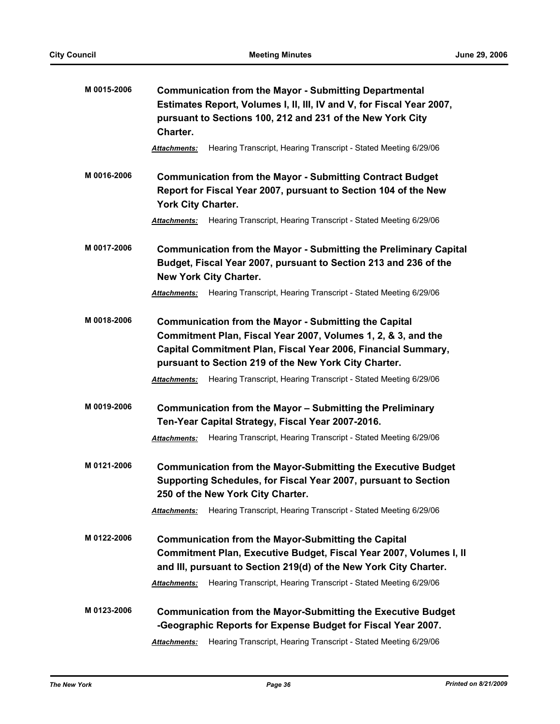| M 0015-2006 | <b>Communication from the Mayor - Submitting Departmental</b><br>Estimates Report, Volumes I, II, III, IV and V, for Fiscal Year 2007,<br>pursuant to Sections 100, 212 and 231 of the New York City<br>Charter.                                        |  |  |
|-------------|---------------------------------------------------------------------------------------------------------------------------------------------------------------------------------------------------------------------------------------------------------|--|--|
|             | Hearing Transcript, Hearing Transcript - Stated Meeting 6/29/06<br><b>Attachments:</b>                                                                                                                                                                  |  |  |
| M 0016-2006 | <b>Communication from the Mayor - Submitting Contract Budget</b><br>Report for Fiscal Year 2007, pursuant to Section 104 of the New<br>York City Charter.                                                                                               |  |  |
|             | Hearing Transcript, Hearing Transcript - Stated Meeting 6/29/06<br>Attachments:                                                                                                                                                                         |  |  |
| M 0017-2006 | <b>Communication from the Mayor - Submitting the Preliminary Capital</b><br>Budget, Fiscal Year 2007, pursuant to Section 213 and 236 of the<br><b>New York City Charter.</b>                                                                           |  |  |
|             | Hearing Transcript, Hearing Transcript - Stated Meeting 6/29/06<br><b>Attachments:</b>                                                                                                                                                                  |  |  |
| M 0018-2006 | <b>Communication from the Mayor - Submitting the Capital</b><br>Commitment Plan, Fiscal Year 2007, Volumes 1, 2, & 3, and the<br>Capital Commitment Plan, Fiscal Year 2006, Financial Summary,<br>pursuant to Section 219 of the New York City Charter. |  |  |
|             | Hearing Transcript, Hearing Transcript - Stated Meeting 6/29/06<br><b>Attachments:</b>                                                                                                                                                                  |  |  |
| M 0019-2006 | Communication from the Mayor - Submitting the Preliminary<br>Ten-Year Capital Strategy, Fiscal Year 2007-2016.                                                                                                                                          |  |  |
|             | Hearing Transcript, Hearing Transcript - Stated Meeting 6/29/06<br>Attachments:                                                                                                                                                                         |  |  |
| M 0121-2006 | <b>Communication from the Mayor-Submitting the Executive Budget</b><br>Supporting Schedules, for Fiscal Year 2007, pursuant to Section<br>250 of the New York City Charter.                                                                             |  |  |
|             | Hearing Transcript, Hearing Transcript - Stated Meeting 6/29/06<br><b>Attachments:</b>                                                                                                                                                                  |  |  |
| M 0122-2006 | <b>Communication from the Mayor-Submitting the Capital</b><br>Commitment Plan, Executive Budget, Fiscal Year 2007, Volumes I, II<br>and III, pursuant to Section 219(d) of the New York City Charter.                                                   |  |  |
|             | Hearing Transcript, Hearing Transcript - Stated Meeting 6/29/06<br><b>Attachments:</b>                                                                                                                                                                  |  |  |
| M 0123-2006 | <b>Communication from the Mayor-Submitting the Executive Budget</b><br>-Geographic Reports for Expense Budget for Fiscal Year 2007.                                                                                                                     |  |  |
|             | Hearing Transcript, Hearing Transcript - Stated Meeting 6/29/06<br><b>Attachments:</b>                                                                                                                                                                  |  |  |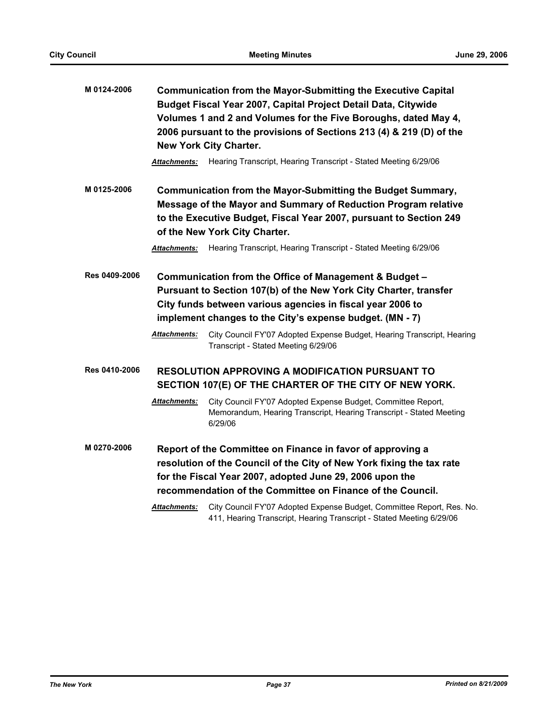| M 0124-2006   | Communication from the Mayor-Submitting the Executive Capital<br>Budget Fiscal Year 2007, Capital Project Detail Data, Citywide<br>Volumes 1 and 2 and Volumes for the Five Boroughs, dated May 4,<br>2006 pursuant to the provisions of Sections 213 (4) & 219 (D) of the<br><b>New York City Charter.</b> |                                                                                                                                                                                                                                                                                                                                                                        |  |
|---------------|-------------------------------------------------------------------------------------------------------------------------------------------------------------------------------------------------------------------------------------------------------------------------------------------------------------|------------------------------------------------------------------------------------------------------------------------------------------------------------------------------------------------------------------------------------------------------------------------------------------------------------------------------------------------------------------------|--|
|               | Attachments:                                                                                                                                                                                                                                                                                                | Hearing Transcript, Hearing Transcript - Stated Meeting 6/29/06                                                                                                                                                                                                                                                                                                        |  |
| M 0125-2006   |                                                                                                                                                                                                                                                                                                             | Communication from the Mayor-Submitting the Budget Summary,<br>Message of the Mayor and Summary of Reduction Program relative<br>to the Executive Budget, Fiscal Year 2007, pursuant to Section 249<br>of the New York City Charter.                                                                                                                                   |  |
|               | <b>Attachments:</b>                                                                                                                                                                                                                                                                                         | Hearing Transcript, Hearing Transcript - Stated Meeting 6/29/06                                                                                                                                                                                                                                                                                                        |  |
| Res 0409-2006 | <b>Attachments:</b>                                                                                                                                                                                                                                                                                         | Communication from the Office of Management & Budget -<br>Pursuant to Section 107(b) of the New York City Charter, transfer<br>City funds between various agencies in fiscal year 2006 to<br>implement changes to the City's expense budget. (MN - 7)<br>City Council FY'07 Adopted Expense Budget, Hearing Transcript, Hearing<br>Transcript - Stated Meeting 6/29/06 |  |
| Res 0410-2006 |                                                                                                                                                                                                                                                                                                             | <b>RESOLUTION APPROVING A MODIFICATION PURSUANT TO</b><br>SECTION 107(E) OF THE CHARTER OF THE CITY OF NEW YORK.                                                                                                                                                                                                                                                       |  |
|               | <b>Attachments:</b>                                                                                                                                                                                                                                                                                         | City Council FY'07 Adopted Expense Budget, Committee Report,<br>Memorandum, Hearing Transcript, Hearing Transcript - Stated Meeting<br>6/29/06                                                                                                                                                                                                                         |  |
| M 0270-2006   |                                                                                                                                                                                                                                                                                                             | Report of the Committee on Finance in favor of approving a<br>resolution of the Council of the City of New York fixing the tax rate<br>for the Fiscal Year 2007, adopted June 29, 2006 upon the<br>recommendation of the Committee on Finance of the Council.                                                                                                          |  |
|               | <b>Attachments:</b>                                                                                                                                                                                                                                                                                         | City Council FY'07 Adopted Expense Budget, Committee Report, Res. No.<br>411, Hearing Transcript, Hearing Transcript - Stated Meeting 6/29/06                                                                                                                                                                                                                          |  |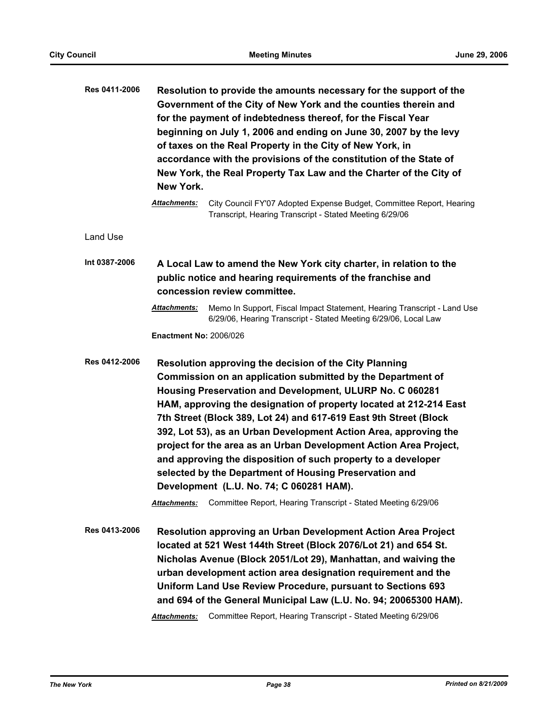| Res 0411-2006 | Resolution to provide the amounts necessary for the support of the<br>Government of the City of New York and the counties therein and<br>for the payment of indebtedness thereof, for the Fiscal Year<br>beginning on July 1, 2006 and ending on June 30, 2007 by the levy<br>of taxes on the Real Property in the City of New York, in<br>accordance with the provisions of the constitution of the State of<br>New York, the Real Property Tax Law and the Charter of the City of<br>New York.                                                                                                                                                                                                                              |  |  |
|---------------|-------------------------------------------------------------------------------------------------------------------------------------------------------------------------------------------------------------------------------------------------------------------------------------------------------------------------------------------------------------------------------------------------------------------------------------------------------------------------------------------------------------------------------------------------------------------------------------------------------------------------------------------------------------------------------------------------------------------------------|--|--|
|               | City Council FY'07 Adopted Expense Budget, Committee Report, Hearing<br>Attachments:<br>Transcript, Hearing Transcript - Stated Meeting 6/29/06                                                                                                                                                                                                                                                                                                                                                                                                                                                                                                                                                                               |  |  |
| Land Use      |                                                                                                                                                                                                                                                                                                                                                                                                                                                                                                                                                                                                                                                                                                                               |  |  |
| Int 0387-2006 | A Local Law to amend the New York city charter, in relation to the<br>public notice and hearing requirements of the franchise and<br>concession review committee.                                                                                                                                                                                                                                                                                                                                                                                                                                                                                                                                                             |  |  |
|               | <b>Attachments:</b><br>Memo In Support, Fiscal Impact Statement, Hearing Transcript - Land Use<br>6/29/06, Hearing Transcript - Stated Meeting 6/29/06, Local Law                                                                                                                                                                                                                                                                                                                                                                                                                                                                                                                                                             |  |  |
|               | <b>Enactment No: 2006/026</b>                                                                                                                                                                                                                                                                                                                                                                                                                                                                                                                                                                                                                                                                                                 |  |  |
| Res 0412-2006 | Resolution approving the decision of the City Planning<br>Commission on an application submitted by the Department of<br>Housing Preservation and Development, ULURP No. C 060281<br>HAM, approving the designation of property located at 212-214 East<br>7th Street (Block 389, Lot 24) and 617-619 East 9th Street (Block<br>392, Lot 53), as an Urban Development Action Area, approving the<br>project for the area as an Urban Development Action Area Project,<br>and approving the disposition of such property to a developer<br>selected by the Department of Housing Preservation and<br>Development (L.U. No. 74; C 060281 HAM).<br>Committee Report, Hearing Transcript - Stated Meeting 6/29/06<br>Attachments: |  |  |
| Res 0413-2006 | Resolution approving an Urban Development Action Area Project<br>located at 521 West 144th Street (Block 2076/Lot 21) and 654 St.<br>Nicholas Avenue (Block 2051/Lot 29), Manhattan, and waiving the<br>urban development action area designation requirement and the<br>Uniform Land Use Review Procedure, pursuant to Sections 693<br>and 694 of the General Municipal Law (L.U. No. 94; 20065300 HAM).<br>Committee Report, Hearing Transcript - Stated Meeting 6/29/06<br>Attachments:                                                                                                                                                                                                                                    |  |  |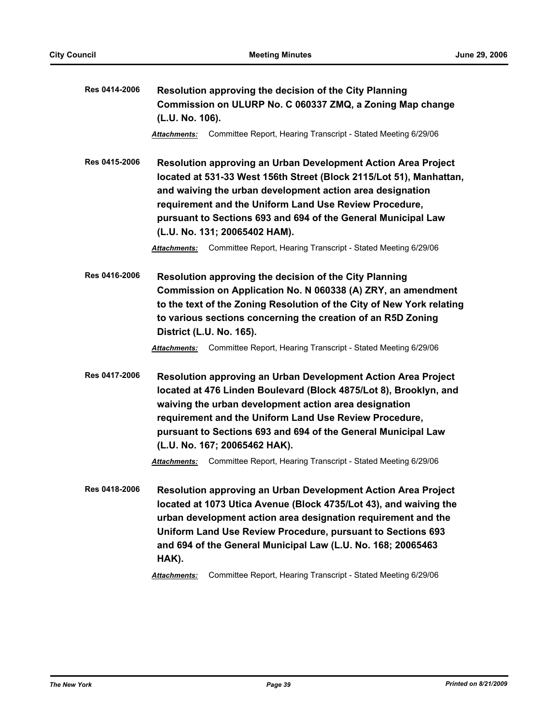| Res 0414-2006 | Resolution approving the decision of the City Planning<br>Commission on ULURP No. C 060337 ZMQ, a Zoning Map change<br>(L.U. No. 106).                                                                                                                                                                                                                                                                                                     |  |  |
|---------------|--------------------------------------------------------------------------------------------------------------------------------------------------------------------------------------------------------------------------------------------------------------------------------------------------------------------------------------------------------------------------------------------------------------------------------------------|--|--|
|               | Committee Report, Hearing Transcript - Stated Meeting 6/29/06<br>Attachments:                                                                                                                                                                                                                                                                                                                                                              |  |  |
| Res 0415-2006 | Resolution approving an Urban Development Action Area Project<br>located at 531-33 West 156th Street (Block 2115/Lot 51), Manhattan,<br>and waiving the urban development action area designation<br>requirement and the Uniform Land Use Review Procedure,<br>pursuant to Sections 693 and 694 of the General Municipal Law<br>(L.U. No. 131; 20065402 HAM).                                                                              |  |  |
|               | Committee Report, Hearing Transcript - Stated Meeting 6/29/06<br><b>Attachments:</b>                                                                                                                                                                                                                                                                                                                                                       |  |  |
| Res 0416-2006 | Resolution approving the decision of the City Planning<br>Commission on Application No. N 060338 (A) ZRY, an amendment<br>to the text of the Zoning Resolution of the City of New York relating<br>to various sections concerning the creation of an R5D Zoning<br>District (L.U. No. 165).                                                                                                                                                |  |  |
|               | Committee Report, Hearing Transcript - Stated Meeting 6/29/06<br>Attachments:                                                                                                                                                                                                                                                                                                                                                              |  |  |
| Res 0417-2006 | Resolution approving an Urban Development Action Area Project<br>located at 476 Linden Boulevard (Block 4875/Lot 8), Brooklyn, and<br>waiving the urban development action area designation<br>requirement and the Uniform Land Use Review Procedure,<br>pursuant to Sections 693 and 694 of the General Municipal Law<br>(L.U. No. 167; 20065462 HAK).                                                                                    |  |  |
|               | Committee Report, Hearing Transcript - Stated Meeting 6/29/06<br><b>Attachments:</b>                                                                                                                                                                                                                                                                                                                                                       |  |  |
| Res 0418-2006 | <b>Resolution approving an Urban Development Action Area Project</b><br>located at 1073 Utica Avenue (Block 4735/Lot 43), and waiving the<br>urban development action area designation requirement and the<br>Uniform Land Use Review Procedure, pursuant to Sections 693<br>and 694 of the General Municipal Law (L.U. No. 168; 20065463<br>HAK).<br>Committee Report, Hearing Transcript - Stated Meeting 6/29/06<br><b>Attachments:</b> |  |  |
|               |                                                                                                                                                                                                                                                                                                                                                                                                                                            |  |  |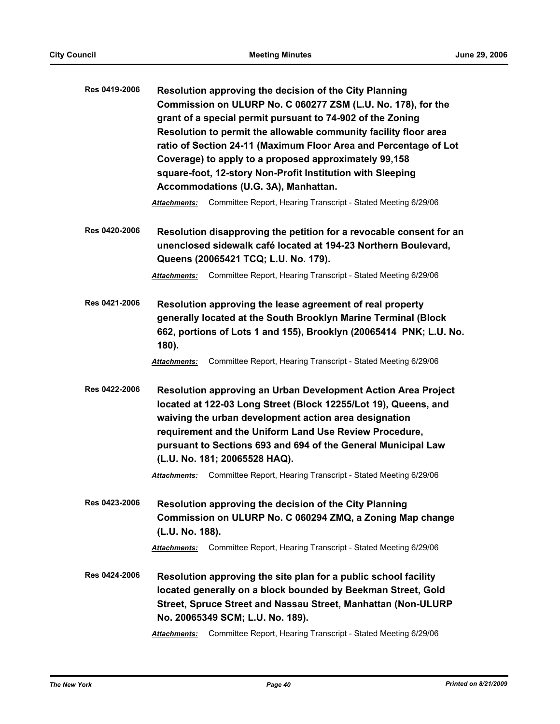| Res 0419-2006 | Resolution approving the decision of the City Planning<br>Commission on ULURP No. C 060277 ZSM (L.U. No. 178), for the<br>grant of a special permit pursuant to 74-902 of the Zoning<br>Resolution to permit the allowable community facility floor area<br>ratio of Section 24-11 (Maximum Floor Area and Percentage of Lot<br>Coverage) to apply to a proposed approximately 99,158<br>square-foot, 12-story Non-Profit Institution with Sleeping<br>Accommodations (U.G. 3A), Manhattan. |  |
|---------------|---------------------------------------------------------------------------------------------------------------------------------------------------------------------------------------------------------------------------------------------------------------------------------------------------------------------------------------------------------------------------------------------------------------------------------------------------------------------------------------------|--|
|               | Committee Report, Hearing Transcript - Stated Meeting 6/29/06<br>Attachments:                                                                                                                                                                                                                                                                                                                                                                                                               |  |
| Res 0420-2006 | Resolution disapproving the petition for a revocable consent for an<br>unenclosed sidewalk café located at 194-23 Northern Boulevard,<br>Queens (20065421 TCQ; L.U. No. 179).                                                                                                                                                                                                                                                                                                               |  |
|               | Committee Report, Hearing Transcript - Stated Meeting 6/29/06<br>Attachments:                                                                                                                                                                                                                                                                                                                                                                                                               |  |
| Res 0421-2006 | Resolution approving the lease agreement of real property<br>generally located at the South Brooklyn Marine Terminal (Block<br>662, portions of Lots 1 and 155), Brooklyn (20065414 PNK; L.U. No.<br>180).                                                                                                                                                                                                                                                                                  |  |
|               | Committee Report, Hearing Transcript - Stated Meeting 6/29/06<br>Attachments:                                                                                                                                                                                                                                                                                                                                                                                                               |  |
| Res 0422-2006 | Resolution approving an Urban Development Action Area Project<br>located at 122-03 Long Street (Block 12255/Lot 19), Queens, and<br>waiving the urban development action area designation<br>requirement and the Uniform Land Use Review Procedure,<br>pursuant to Sections 693 and 694 of the General Municipal Law<br>(L.U. No. 181; 20065528 HAQ).                                                                                                                                       |  |
|               | Committee Report, Hearing Transcript - Stated Meeting 6/29/06<br>Attachments:                                                                                                                                                                                                                                                                                                                                                                                                               |  |
| Res 0423-2006 | Resolution approving the decision of the City Planning<br>Commission on ULURP No. C 060294 ZMQ, a Zoning Map change<br>(L.U. No. 188).                                                                                                                                                                                                                                                                                                                                                      |  |
|               | Committee Report, Hearing Transcript - Stated Meeting 6/29/06<br><b>Attachments:</b>                                                                                                                                                                                                                                                                                                                                                                                                        |  |
| Res 0424-2006 | Resolution approving the site plan for a public school facility<br>located generally on a block bounded by Beekman Street, Gold<br>Street, Spruce Street and Nassau Street, Manhattan (Non-ULURP<br>No. 20065349 SCM; L.U. No. 189).                                                                                                                                                                                                                                                        |  |
|               | Committee Report, Hearing Transcript - Stated Meeting 6/29/06<br><b>Attachments:</b>                                                                                                                                                                                                                                                                                                                                                                                                        |  |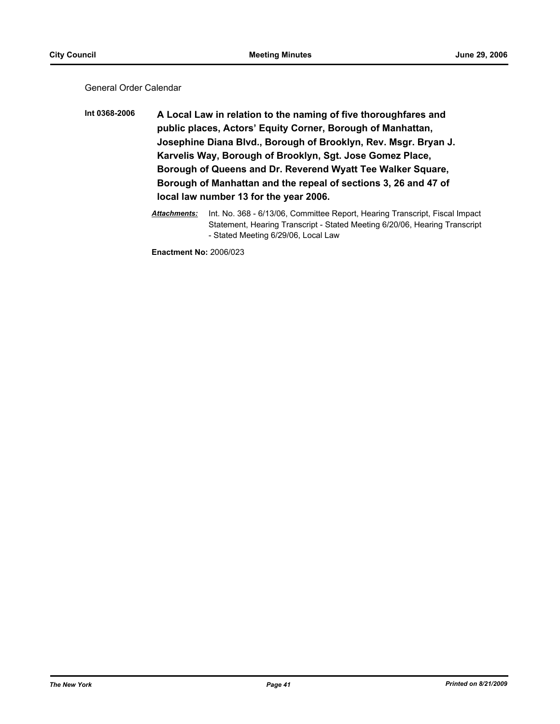General Order Calendar

**Int 0368-2006 A Local Law in relation to the naming of five thoroughfares and public places, Actors' Equity Corner, Borough of Manhattan, Josephine Diana Blvd., Borough of Brooklyn, Rev. Msgr. Bryan J. Karvelis Way, Borough of Brooklyn, Sgt. Jose Gomez Place, Borough of Queens and Dr. Reverend Wyatt Tee Walker Square, Borough of Manhattan and the repeal of sections 3, 26 and 47 of local law number 13 for the year 2006.**

> *Attachments:* Int. No. 368 - 6/13/06, Committee Report, Hearing Transcript, Fiscal Impact Statement, Hearing Transcript - Stated Meeting 6/20/06, Hearing Transcript - Stated Meeting 6/29/06, Local Law

**Enactment No:** 2006/023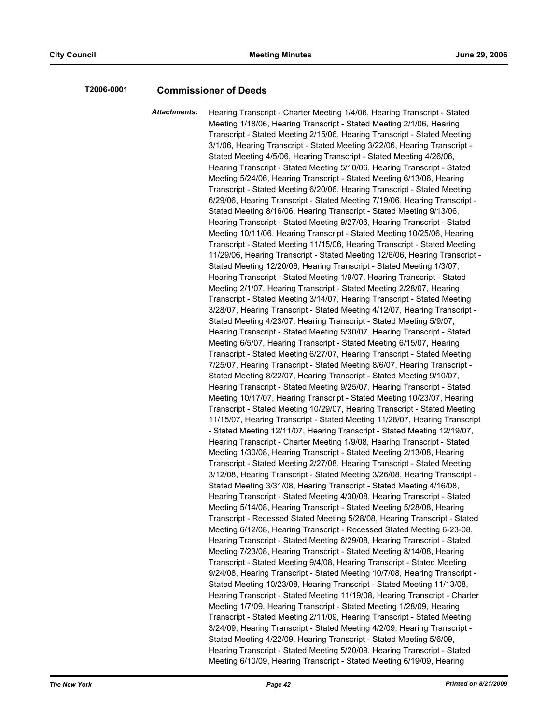### **T2006-0001 Commissioner of Deeds**

*Attachments:* Hearing Transcript - Charter Meeting 1/4/06, Hearing Transcript - Stated Meeting 1/18/06, Hearing Transcript - Stated Meeting 2/1/06, Hearing Transcript - Stated Meeting 2/15/06, Hearing Transcript - Stated Meeting 3/1/06, Hearing Transcript - Stated Meeting 3/22/06, Hearing Transcript - Stated Meeting 4/5/06, Hearing Transcript - Stated Meeting 4/26/06, Hearing Transcript - Stated Meeting 5/10/06, Hearing Transcript - Stated Meeting 5/24/06, Hearing Transcript - Stated Meeting 6/13/06, Hearing Transcript - Stated Meeting 6/20/06, Hearing Transcript - Stated Meeting 6/29/06, Hearing Transcript - Stated Meeting 7/19/06, Hearing Transcript - Stated Meeting 8/16/06, Hearing Transcript - Stated Meeting 9/13/06, Hearing Transcript - Stated Meeting 9/27/06, Hearing Transcript - Stated Meeting 10/11/06, Hearing Transcript - Stated Meeting 10/25/06, Hearing Transcript - Stated Meeting 11/15/06, Hearing Transcript - Stated Meeting 11/29/06, Hearing Transcript - Stated Meeting 12/6/06, Hearing Transcript - Stated Meeting 12/20/06, Hearing Transcript - Stated Meeting 1/3/07, Hearing Transcript - Stated Meeting 1/9/07, Hearing Transcript - Stated Meeting 2/1/07, Hearing Transcript - Stated Meeting 2/28/07, Hearing Transcript - Stated Meeting 3/14/07, Hearing Transcript - Stated Meeting 3/28/07, Hearing Transcript - Stated Meeting 4/12/07, Hearing Transcript - Stated Meeting 4/23/07, Hearing Transcript - Stated Meeting 5/9/07, Hearing Transcript - Stated Meeting 5/30/07, Hearing Transcript - Stated Meeting 6/5/07, Hearing Transcript - Stated Meeting 6/15/07, Hearing Transcript - Stated Meeting 6/27/07, Hearing Transcript - Stated Meeting 7/25/07, Hearing Transcript - Stated Meeting 8/6/07, Hearing Transcript - Stated Meeting 8/22/07, Hearing Transcript - Stated Meeting 9/10/07, Hearing Transcript - Stated Meeting 9/25/07, Hearing Transcript - Stated Meeting 10/17/07, Hearing Transcript - Stated Meeting 10/23/07, Hearing Transcript - Stated Meeting 10/29/07, Hearing Transcript - Stated Meeting 11/15/07, Hearing Transcript - Stated Meeting 11/28/07, Hearing Transcript - Stated Meeting 12/11/07, Hearing Transcript - Stated Meeting 12/19/07, Hearing Transcript - Charter Meeting 1/9/08, Hearing Transcript - Stated Meeting 1/30/08, Hearing Transcript - Stated Meeting 2/13/08, Hearing Transcript - Stated Meeting 2/27/08, Hearing Transcript - Stated Meeting 3/12/08, Hearing Transcript - Stated Meeting 3/26/08, Hearing Transcript - Stated Meeting 3/31/08, Hearing Transcript - Stated Meeting 4/16/08, Hearing Transcript - Stated Meeting 4/30/08, Hearing Transcript - Stated Meeting 5/14/08, Hearing Transcript - Stated Meeting 5/28/08, Hearing Transcript - Recessed Stated Meeting 5/28/08, Hearing Transcript - Stated Meeting 6/12/08, Hearing Transcript - Recessed Stated Meeting 6-23-08, Hearing Transcript - Stated Meeting 6/29/08, Hearing Transcript - Stated Meeting 7/23/08, Hearing Transcript - Stated Meeting 8/14/08, Hearing Transcript - Stated Meeting 9/4/08, Hearing Transcript - Stated Meeting 9/24/08, Hearing Transcript - Stated Meeting 10/7/08, Hearing Transcript - Stated Meeting 10/23/08, Hearing Transcript - Stated Meeting 11/13/08, Hearing Transcript - Stated Meeting 11/19/08, Hearing Transcript - Charter Meeting 1/7/09, Hearing Transcript - Stated Meeting 1/28/09, Hearing Transcript - Stated Meeting 2/11/09, Hearing Transcript - Stated Meeting 3/24/09, Hearing Transcript - Stated Meeting 4/2/09, Hearing Transcript - Stated Meeting 4/22/09, Hearing Transcript - Stated Meeting 5/6/09, Hearing Transcript - Stated Meeting 5/20/09, Hearing Transcript - Stated Meeting 6/10/09, Hearing Transcript - Stated Meeting 6/19/09, Hearing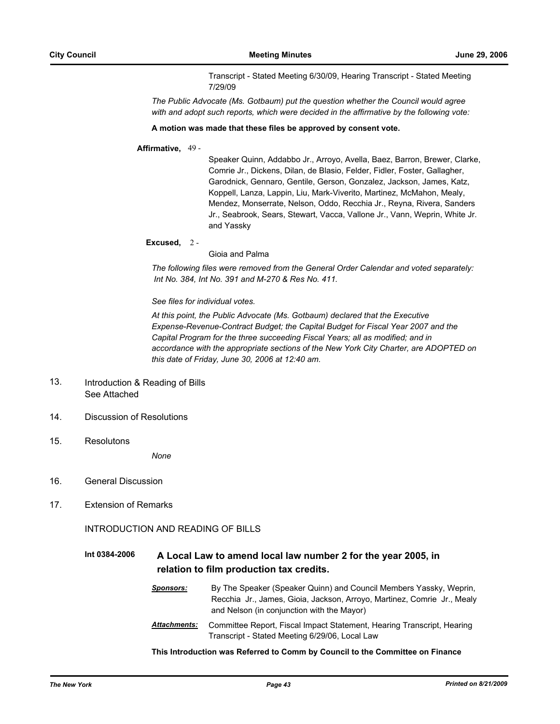Transcript - Stated Meeting 6/30/09, Hearing Transcript - Stated Meeting 7/29/09

*The Public Advocate (Ms. Gotbaum) put the question whether the Council would agree with and adopt such reports, which were decided in the affirmative by the following vote:*

#### **A motion was made that these files be approved by consent vote.**

### **Affirmative,** 49 -

Speaker Quinn, Addabbo Jr., Arroyo, Avella, Baez, Barron, Brewer, Clarke, Comrie Jr., Dickens, Dilan, de Blasio, Felder, Fidler, Foster, Gallagher, Garodnick, Gennaro, Gentile, Gerson, Gonzalez, Jackson, James, Katz, Koppell, Lanza, Lappin, Liu, Mark-Viverito, Martinez, McMahon, Mealy, Mendez, Monserrate, Nelson, Oddo, Recchia Jr., Reyna, Rivera, Sanders Jr., Seabrook, Sears, Stewart, Vacca, Vallone Jr., Vann, Weprin, White Jr. and Yassky

**Excused,** 2 -

Gioia and Palma

*The following files were removed from the General Order Calendar and voted separately: Int No. 384, Int No. 391 and M-270 & Res No. 411.*

#### *See files for individual votes.*

*At this point, the Public Advocate (Ms. Gotbaum) declared that the Executive Expense-Revenue-Contract Budget; the Capital Budget for Fiscal Year 2007 and the Capital Program for the three succeeding Fiscal Years; all as modified; and in accordance with the appropriate sections of the New York City Charter, are ADOPTED on this date of Friday, June 30, 2006 at 12:40 am.*

- Introduction & Reading of Bills See Attached 13.
- 14. Discussion of Resolutions
- 15. Resolutons

*None*

- 16. General Discussion
- 17. Extension of Remarks

INTRODUCTION AND READING OF BILLS

## **Int 0384-2006 A Local Law to amend local law number 2 for the year 2005, in relation to film production tax credits.**

| <b>Sponsors:</b>    | By The Speaker (Speaker Quinn) and Council Members Yassky, Weprin,                                                       |  |  |
|---------------------|--------------------------------------------------------------------------------------------------------------------------|--|--|
|                     | Recchia Jr., James, Gioia, Jackson, Arroyo, Martinez, Comrie Jr., Mealy<br>and Nelson (in conjunction with the Mayor)    |  |  |
| <b>Attachments:</b> | Committee Report, Fiscal Impact Statement, Hearing Transcript, Hearing<br>Transcript - Stated Meeting 6/29/06, Local Law |  |  |

**This Introduction was Referred to Comm by Council to the Committee on Finance**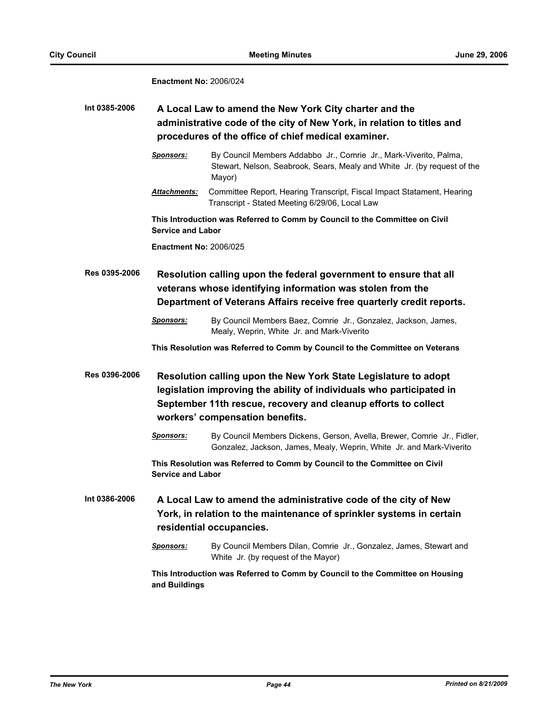## **Enactment No:** 2006/024

| Int 0385-2006 | A Local Law to amend the New York City charter and the<br>administrative code of the city of New York, in relation to titles and<br>procedures of the office of chief medical examiner. |                                                                                                                                                                                                                                              |  |
|---------------|-----------------------------------------------------------------------------------------------------------------------------------------------------------------------------------------|----------------------------------------------------------------------------------------------------------------------------------------------------------------------------------------------------------------------------------------------|--|
|               | <b>Sponsors:</b>                                                                                                                                                                        | By Council Members Addabbo Jr., Comrie Jr., Mark-Viverito, Palma,<br>Stewart, Nelson, Seabrook, Sears, Mealy and White Jr. (by request of the<br>Mayor)                                                                                      |  |
|               | <b>Attachments:</b>                                                                                                                                                                     | Committee Report, Hearing Transcript, Fiscal Impact Statament, Hearing<br>Transcript - Stated Meeting 6/29/06, Local Law                                                                                                                     |  |
|               | This Introduction was Referred to Comm by Council to the Committee on Civil<br><b>Service and Labor</b>                                                                                 |                                                                                                                                                                                                                                              |  |
|               | <b>Enactment No: 2006/025</b>                                                                                                                                                           |                                                                                                                                                                                                                                              |  |
| Res 0395-2006 |                                                                                                                                                                                         | Resolution calling upon the federal government to ensure that all<br>veterans whose identifying information was stolen from the<br>Department of Veterans Affairs receive free quarterly credit reports.                                     |  |
|               | <b>Sponsors:</b>                                                                                                                                                                        | By Council Members Baez, Comrie Jr., Gonzalez, Jackson, James,<br>Mealy, Weprin, White Jr. and Mark-Viverito                                                                                                                                 |  |
|               |                                                                                                                                                                                         | This Resolution was Referred to Comm by Council to the Committee on Veterans                                                                                                                                                                 |  |
| Res 0396-2006 |                                                                                                                                                                                         | Resolution calling upon the New York State Legislature to adopt<br>legislation improving the ability of individuals who participated in<br>September 11th rescue, recovery and cleanup efforts to collect<br>workers' compensation benefits. |  |
|               | <b>Sponsors:</b>                                                                                                                                                                        | By Council Members Dickens, Gerson, Avella, Brewer, Comrie Jr., Fidler,<br>Gonzalez, Jackson, James, Mealy, Weprin, White Jr. and Mark-Viverito                                                                                              |  |
|               | <b>Service and Labor</b>                                                                                                                                                                | This Resolution was Referred to Comm by Council to the Committee on Civil                                                                                                                                                                    |  |
| Int 0386-2006 | A Local Law to amend the administrative code of the city of New<br>York, in relation to the maintenance of sprinkler systems in certain<br>residential occupancies.                     |                                                                                                                                                                                                                                              |  |
|               | <b>Sponsors:</b>                                                                                                                                                                        | By Council Members Dilan, Comrie Jr., Gonzalez, James, Stewart and<br>White Jr. (by request of the Mayor)                                                                                                                                    |  |
|               | and Buildings                                                                                                                                                                           | This Introduction was Referred to Comm by Council to the Committee on Housing                                                                                                                                                                |  |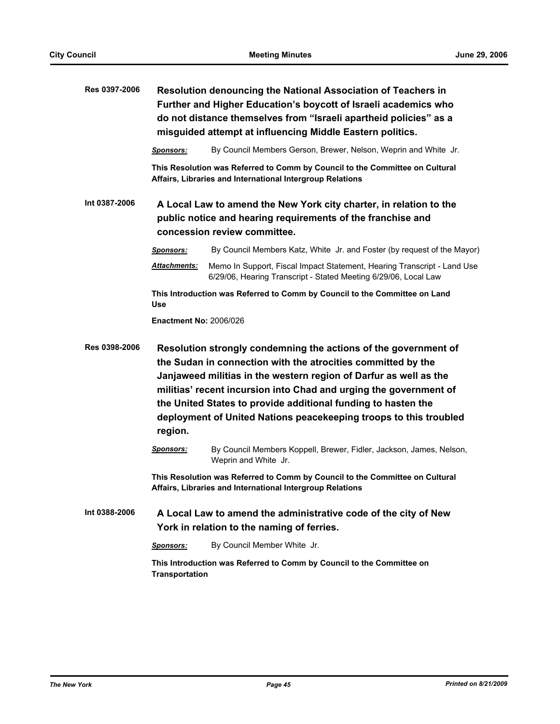| Res 0397-2006 | Resolution denouncing the National Association of Teachers in<br>Further and Higher Education's boycott of Israeli academics who<br>do not distance themselves from "Israeli apartheid policies" as a<br>misguided attempt at influencing Middle Eastern politics. |                                                                                                                                                                                                                                                                                                                                                                                                                 |  |
|---------------|--------------------------------------------------------------------------------------------------------------------------------------------------------------------------------------------------------------------------------------------------------------------|-----------------------------------------------------------------------------------------------------------------------------------------------------------------------------------------------------------------------------------------------------------------------------------------------------------------------------------------------------------------------------------------------------------------|--|
|               | <b>Sponsors:</b>                                                                                                                                                                                                                                                   | By Council Members Gerson, Brewer, Nelson, Weprin and White Jr.                                                                                                                                                                                                                                                                                                                                                 |  |
|               |                                                                                                                                                                                                                                                                    | This Resolution was Referred to Comm by Council to the Committee on Cultural<br>Affairs, Libraries and International Intergroup Relations                                                                                                                                                                                                                                                                       |  |
| Int 0387-2006 | A Local Law to amend the New York city charter, in relation to the<br>public notice and hearing requirements of the franchise and<br>concession review committee.                                                                                                  |                                                                                                                                                                                                                                                                                                                                                                                                                 |  |
|               | <b>Sponsors:</b>                                                                                                                                                                                                                                                   | By Council Members Katz, White Jr. and Foster (by request of the Mayor)                                                                                                                                                                                                                                                                                                                                         |  |
|               | <u> Attachments:</u>                                                                                                                                                                                                                                               | Memo In Support, Fiscal Impact Statement, Hearing Transcript - Land Use<br>6/29/06, Hearing Transcript - Stated Meeting 6/29/06, Local Law                                                                                                                                                                                                                                                                      |  |
|               | This Introduction was Referred to Comm by Council to the Committee on Land<br><b>Use</b>                                                                                                                                                                           |                                                                                                                                                                                                                                                                                                                                                                                                                 |  |
|               | <b>Enactment No: 2006/026</b>                                                                                                                                                                                                                                      |                                                                                                                                                                                                                                                                                                                                                                                                                 |  |
| Res 0398-2006 | region.                                                                                                                                                                                                                                                            | Resolution strongly condemning the actions of the government of<br>the Sudan in connection with the atrocities committed by the<br>Janjaweed militias in the western region of Darfur as well as the<br>militias' recent incursion into Chad and urging the government of<br>the United States to provide additional funding to hasten the<br>deployment of United Nations peacekeeping troops to this troubled |  |
|               | <b>Sponsors:</b>                                                                                                                                                                                                                                                   | By Council Members Koppell, Brewer, Fidler, Jackson, James, Nelson,<br>Weprin and White Jr.                                                                                                                                                                                                                                                                                                                     |  |
|               |                                                                                                                                                                                                                                                                    | This Resolution was Referred to Comm by Council to the Committee on Cultural<br>Affairs, Libraries and International Intergroup Relations                                                                                                                                                                                                                                                                       |  |
| Int 0388-2006 |                                                                                                                                                                                                                                                                    | A Local Law to amend the administrative code of the city of New<br>York in relation to the naming of ferries.                                                                                                                                                                                                                                                                                                   |  |
|               | <b>Sponsors:</b>                                                                                                                                                                                                                                                   | By Council Member White Jr.                                                                                                                                                                                                                                                                                                                                                                                     |  |
|               | <b>Transportation</b>                                                                                                                                                                                                                                              | This Introduction was Referred to Comm by Council to the Committee on                                                                                                                                                                                                                                                                                                                                           |  |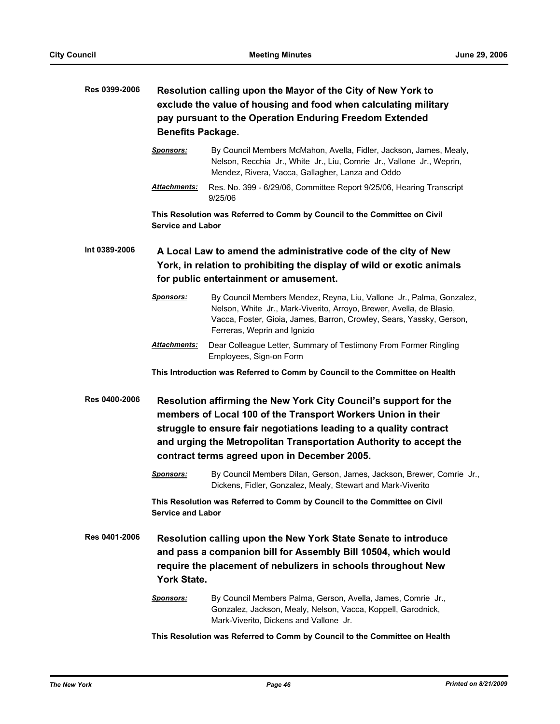# **Res 0399-2006 Resolution calling upon the Mayor of the City of New York to exclude the value of housing and food when calculating military pay pursuant to the Operation Enduring Freedom Extended Benefits Package.**

*Sponsors:* By Council Members McMahon, Avella, Fidler, Jackson, James, Mealy, Nelson, Recchia Jr., White Jr., Liu, Comrie Jr., Vallone Jr., Weprin, Mendez, Rivera, Vacca, Gallagher, Lanza and Oddo

*Attachments:* Res. No. 399 - 6/29/06, Committee Report 9/25/06, Hearing Transcript 9/25/06

**This Resolution was Referred to Comm by Council to the Committee on Civil Service and Labor**

**Int 0389-2006 A Local Law to amend the administrative code of the city of New York, in relation to prohibiting the display of wild or exotic animals for public entertainment or amusement.**

- *Sponsors:* By Council Members Mendez, Reyna, Liu, Vallone Jr., Palma, Gonzalez, Nelson, White Jr., Mark-Viverito, Arroyo, Brewer, Avella, de Blasio, Vacca, Foster, Gioia, James, Barron, Crowley, Sears, Yassky, Gerson, Ferreras, Weprin and Ignizio
- *Attachments:* Dear Colleague Letter, Summary of Testimony From Former Ringling Employees, Sign-on Form

**This Introduction was Referred to Comm by Council to the Committee on Health**

**Res 0400-2006 Resolution affirming the New York City Council's support for the members of Local 100 of the Transport Workers Union in their struggle to ensure fair negotiations leading to a quality contract and urging the Metropolitan Transportation Authority to accept the contract terms agreed upon in December 2005.**

> *Sponsors:* By Council Members Dilan, Gerson, James, Jackson, Brewer, Comrie Jr., Dickens, Fidler, Gonzalez, Mealy, Stewart and Mark-Viverito

**This Resolution was Referred to Comm by Council to the Committee on Civil Service and Labor**

**Res 0401-2006 Resolution calling upon the New York State Senate to introduce and pass a companion bill for Assembly Bill 10504, which would require the placement of nebulizers in schools throughout New York State.**

> *Sponsors:* By Council Members Palma, Gerson, Avella, James, Comrie Jr., Gonzalez, Jackson, Mealy, Nelson, Vacca, Koppell, Garodnick, Mark-Viverito, Dickens and Vallone Jr.

**This Resolution was Referred to Comm by Council to the Committee on Health**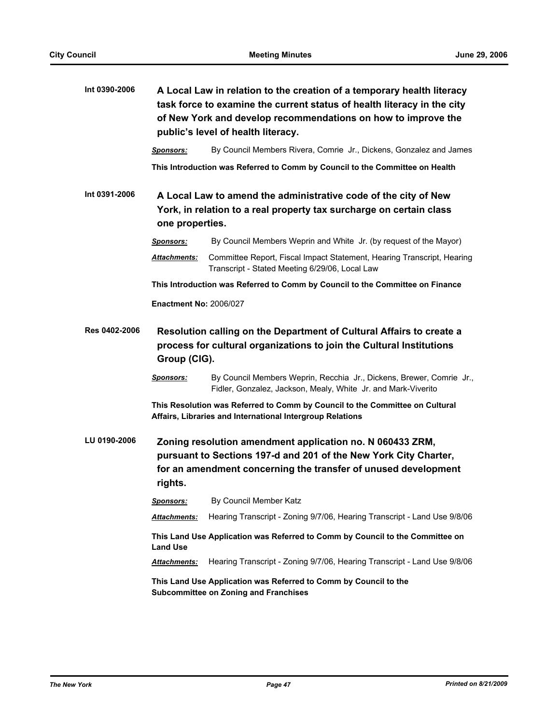| Int 0390-2006 | A Local Law in relation to the creation of a temporary health literacy<br>task force to examine the current status of health literacy in the city<br>of New York and develop recommendations on how to improve the<br>public's level of health literacy. |                                                                                                                                       |  |  |
|---------------|----------------------------------------------------------------------------------------------------------------------------------------------------------------------------------------------------------------------------------------------------------|---------------------------------------------------------------------------------------------------------------------------------------|--|--|
|               | <b>Sponsors:</b>                                                                                                                                                                                                                                         | By Council Members Rivera, Comrie Jr., Dickens, Gonzalez and James                                                                    |  |  |
|               |                                                                                                                                                                                                                                                          | This Introduction was Referred to Comm by Council to the Committee on Health                                                          |  |  |
| Int 0391-2006 | A Local Law to amend the administrative code of the city of New<br>York, in relation to a real property tax surcharge on certain class<br>one properties.                                                                                                |                                                                                                                                       |  |  |
|               | <b>Sponsors:</b>                                                                                                                                                                                                                                         | By Council Members Weprin and White Jr. (by request of the Mayor)                                                                     |  |  |
|               | <b>Attachments:</b>                                                                                                                                                                                                                                      | Committee Report, Fiscal Impact Statement, Hearing Transcript, Hearing<br>Transcript - Stated Meeting 6/29/06, Local Law              |  |  |
|               | This Introduction was Referred to Comm by Council to the Committee on Finance                                                                                                                                                                            |                                                                                                                                       |  |  |
|               | <b>Enactment No: 2006/027</b>                                                                                                                                                                                                                            |                                                                                                                                       |  |  |
| Res 0402-2006 | Resolution calling on the Department of Cultural Affairs to create a<br>process for cultural organizations to join the Cultural Institutions<br>Group (CIG).                                                                                             |                                                                                                                                       |  |  |
|               | <b>Sponsors:</b>                                                                                                                                                                                                                                         | By Council Members Weprin, Recchia Jr., Dickens, Brewer, Comrie Jr.,<br>Fidler, Gonzalez, Jackson, Mealy, White Jr. and Mark-Viverito |  |  |
|               | This Resolution was Referred to Comm by Council to the Committee on Cultural<br>Affairs, Libraries and International Intergroup Relations                                                                                                                |                                                                                                                                       |  |  |
| LU 0190-2006  | Zoning resolution amendment application no. N 060433 ZRM,<br>pursuant to Sections 197-d and 201 of the New York City Charter,<br>for an amendment concerning the transfer of unused development<br>rights.                                               |                                                                                                                                       |  |  |
|               | <u>Sponsors:</u>                                                                                                                                                                                                                                         | By Council Member Katz                                                                                                                |  |  |
|               | Attachments:                                                                                                                                                                                                                                             | Hearing Transcript - Zoning 9/7/06, Hearing Transcript - Land Use 9/8/06                                                              |  |  |
|               | This Land Use Application was Referred to Comm by Council to the Committee on<br><b>Land Use</b>                                                                                                                                                         |                                                                                                                                       |  |  |
|               | <b>Attachments:</b>                                                                                                                                                                                                                                      | Hearing Transcript - Zoning 9/7/06, Hearing Transcript - Land Use 9/8/06                                                              |  |  |
|               | This Land Use Application was Referred to Comm by Council to the<br><b>Subcommittee on Zoning and Franchises</b>                                                                                                                                         |                                                                                                                                       |  |  |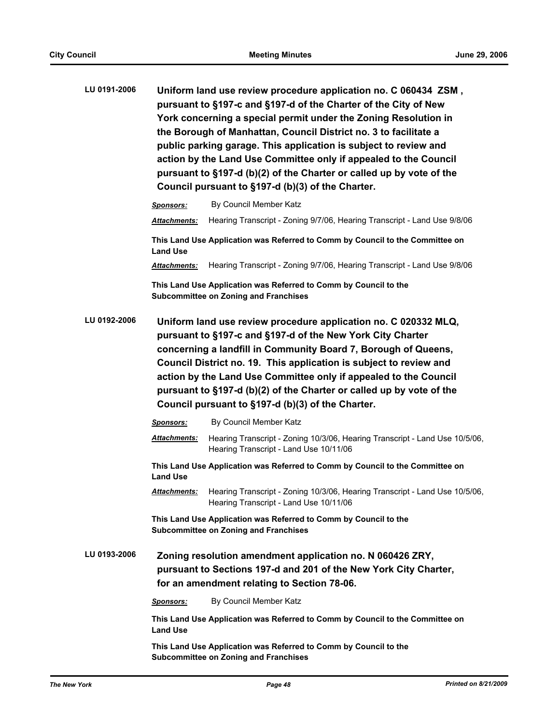| LU 0191-2006 | Uniform land use review procedure application no. C 060434 ZSM,      |  |  |  |
|--------------|----------------------------------------------------------------------|--|--|--|
|              | pursuant to §197-c and §197-d of the Charter of the City of New      |  |  |  |
|              | York concerning a special permit under the Zoning Resolution in      |  |  |  |
|              | the Borough of Manhattan, Council District no. 3 to facilitate a     |  |  |  |
|              | public parking garage. This application is subject to review and     |  |  |  |
|              | action by the Land Use Committee only if appealed to the Council     |  |  |  |
|              | pursuant to §197-d (b)(2) of the Charter or called up by vote of the |  |  |  |
|              | Council pursuant to §197-d (b)(3) of the Charter.                    |  |  |  |
|              |                                                                      |  |  |  |

*Sponsors:* By Council Member Katz *Attachments:* Hearing Transcript - Zoning 9/7/06, Hearing Transcript - Land Use 9/8/06 **This Land Use Application was Referred to Comm by Council to the Committee on Land Use** *Attachments:* Hearing Transcript - Zoning 9/7/06, Hearing Transcript - Land Use 9/8/06 **This Land Use Application was Referred to Comm by Council to the Subcommittee on Zoning and Franchises LU 0192-2006 Uniform land use review procedure application no. C 020332 MLQ, pursuant to §197-c and §197-d of the New York City Charter concerning a landfill in Community Board 7, Borough of Queens, Council District no. 19. This application is subject to review and action by the Land Use Committee only if appealed to the Council pursuant to §197-d (b)(2) of the Charter or called up by vote of the Council pursuant to §197-d (b)(3) of the Charter.**

|              | <b>Sponsors:</b>                                                                                                                                                             | By Council Member Katz                                                                                                |  |
|--------------|------------------------------------------------------------------------------------------------------------------------------------------------------------------------------|-----------------------------------------------------------------------------------------------------------------------|--|
|              | <b>Attachments:</b>                                                                                                                                                          | Hearing Transcript - Zoning 10/3/06, Hearing Transcript - Land Use 10/5/06,<br>Hearing Transcript - Land Use 10/11/06 |  |
|              | This Land Use Application was Referred to Comm by Council to the Committee on<br><b>Land Use</b>                                                                             |                                                                                                                       |  |
|              | <b>Attachments:</b>                                                                                                                                                          | Hearing Transcript - Zoning 10/3/06, Hearing Transcript - Land Use 10/5/06,<br>Hearing Transcript - Land Use 10/11/06 |  |
|              | This Land Use Application was Referred to Comm by Council to the<br><b>Subcommittee on Zoning and Franchises</b>                                                             |                                                                                                                       |  |
| LU 0193-2006 | Zoning resolution amendment application no. N 060426 ZRY,<br>pursuant to Sections 197-d and 201 of the New York City Charter,<br>for an amendment relating to Section 78-06. |                                                                                                                       |  |
|              | <b>Sponsors:</b>                                                                                                                                                             | By Council Member Katz                                                                                                |  |
|              | This Land Use Application was Referred to Comm by Council to the Committee on<br><b>Land Use</b>                                                                             |                                                                                                                       |  |
|              |                                                                                                                                                                              |                                                                                                                       |  |

**This Land Use Application was Referred to Comm by Council to the Subcommittee on Zoning and Franchises**